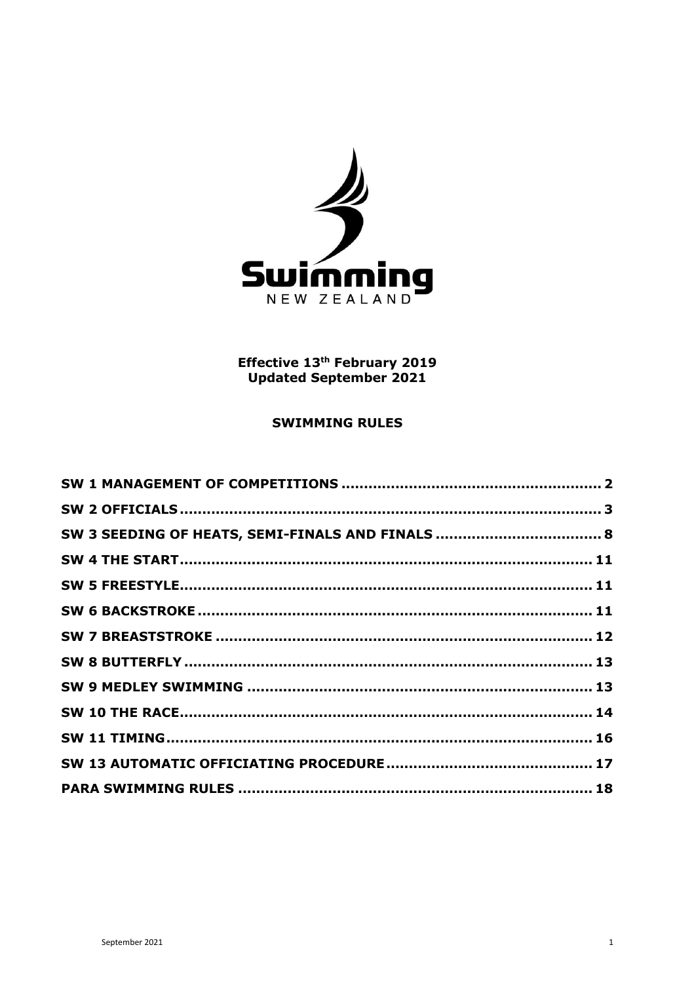

# Effective 13<sup>th</sup> February 2019<br>Updated September 2021

## **SWIMMING RULES**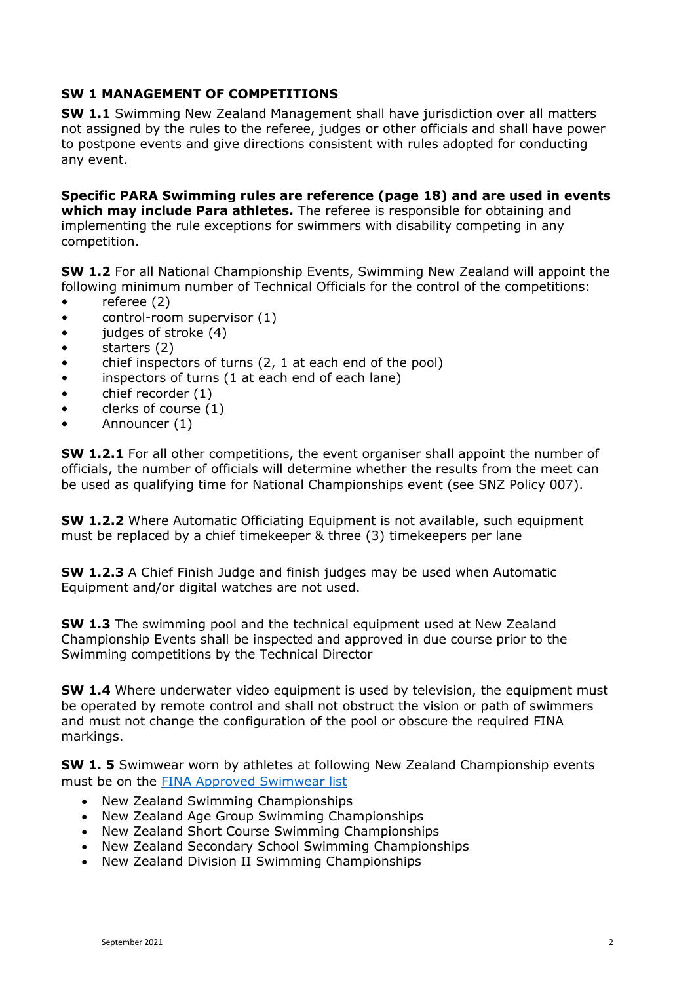## <span id="page-1-0"></span>**SW 1 MANAGEMENT OF COMPETITIONS**

**SW 1.1** Swimming New Zealand Management shall have jurisdiction over all matters not assigned by the rules to the referee, judges or other officials and shall have power to postpone events and give directions consistent with rules adopted for conducting any event.

**Specific PARA Swimming rules are reference (page 18) and are used in events which may include Para athletes.** The referee is responsible for obtaining and implementing the rule exceptions for swimmers with disability competing in any competition.

**SW 1.2** For all National Championship Events, Swimming New Zealand will appoint the following minimum number of Technical Officials for the control of the competitions:

- referee (2)
- control-room supervisor (1)
- judges of stroke (4)
- starters (2)
- chief inspectors of turns (2, 1 at each end of the pool)
- inspectors of turns (1 at each end of each lane)
- chief recorder (1)
- clerks of course (1)
- Announcer (1)

**SW 1.2.1** For all other competitions, the event organiser shall appoint the number of officials, the number of officials will determine whether the results from the meet can be used as qualifying time for National Championships event (see SNZ Policy 007).

**SW 1.2.2** Where Automatic Officiating Equipment is not available, such equipment must be replaced by a chief timekeeper & three (3) timekeepers per lane

**SW 1.2.3** A Chief Finish Judge and finish judges may be used when Automatic Equipment and/or digital watches are not used.

**SW 1.3** The swimming pool and the technical equipment used at New Zealand Championship Events shall be inspected and approved in due course prior to the Swimming competitions by the Technical Director

**SW 1.4** Where underwater video equipment is used by television, the equipment must be operated by remote control and shall not obstruct the vision or path of swimmers and must not change the configuration of the pool or obscure the required FINA markings.

**SW 1. 5** Swimwear worn by athletes at following New Zealand Championship events must be on the [FINA Approved Swimwear list](http://fina.org/content/fina-approved-swimwear)

- New Zealand Swimming Championships
- New Zealand Age Group Swimming Championships
- New Zealand Short Course Swimming Championships
- New Zealand Secondary School Swimming Championships
- New Zealand Division II Swimming Championships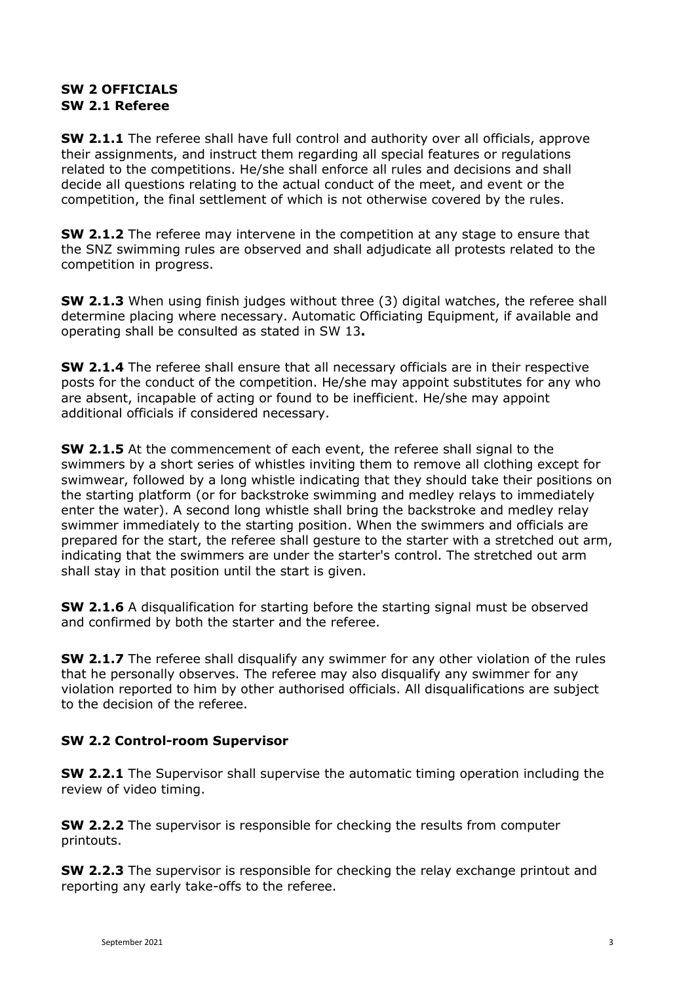# <span id="page-2-0"></span>**SW 2 OFFICIALS SW 2.1 Referee**

**SW 2.1.1** The referee shall have full control and authority over all officials, approve their assignments, and instruct them regarding all special features or regulations related to the competitions. He/she shall enforce all rules and decisions and shall decide all questions relating to the actual conduct of the meet, and event or the competition, the final settlement of which is not otherwise covered by the rules.

**SW 2.1.2** The referee may intervene in the competition at any stage to ensure that the SNZ swimming rules are observed and shall adjudicate all protests related to the competition in progress.

**SW 2.1.3** When using finish judges without three (3) digital watches, the referee shall determine placing where necessary. Automatic Officiating Equipment, if available and operating shall be consulted as stated in SW 13**.** 

**SW 2.1.4** The referee shall ensure that all necessary officials are in their respective posts for the conduct of the competition. He/she may appoint substitutes for any who are absent, incapable of acting or found to be inefficient. He/she may appoint additional officials if considered necessary.

**SW 2.1.5** At the commencement of each event, the referee shall signal to the swimmers by a short series of whistles inviting them to remove all clothing except for swimwear, followed by a long whistle indicating that they should take their positions on the starting platform (or for backstroke swimming and medley relays to immediately enter the water). A second long whistle shall bring the backstroke and medley relay swimmer immediately to the starting position. When the swimmers and officials are prepared for the start, the referee shall gesture to the starter with a stretched out arm, indicating that the swimmers are under the starter's control. The stretched out arm shall stay in that position until the start is given.

**SW 2.1.6** A disqualification for starting before the starting signal must be observed and confirmed by both the starter and the referee.

**SW 2.1.7** The referee shall disqualify any swimmer for any other violation of the rules that he personally observes. The referee may also disqualify any swimmer for any violation reported to him by other authorised officials. All disqualifications are subject to the decision of the referee.

# **SW 2.2 Control-room Supervisor**

**SW 2.2.1** The Supervisor shall supervise the automatic timing operation including the review of video timing.

**SW 2.2.2** The supervisor is responsible for checking the results from computer printouts.

**SW 2.2.3** The supervisor is responsible for checking the relay exchange printout and reporting any early take-offs to the referee.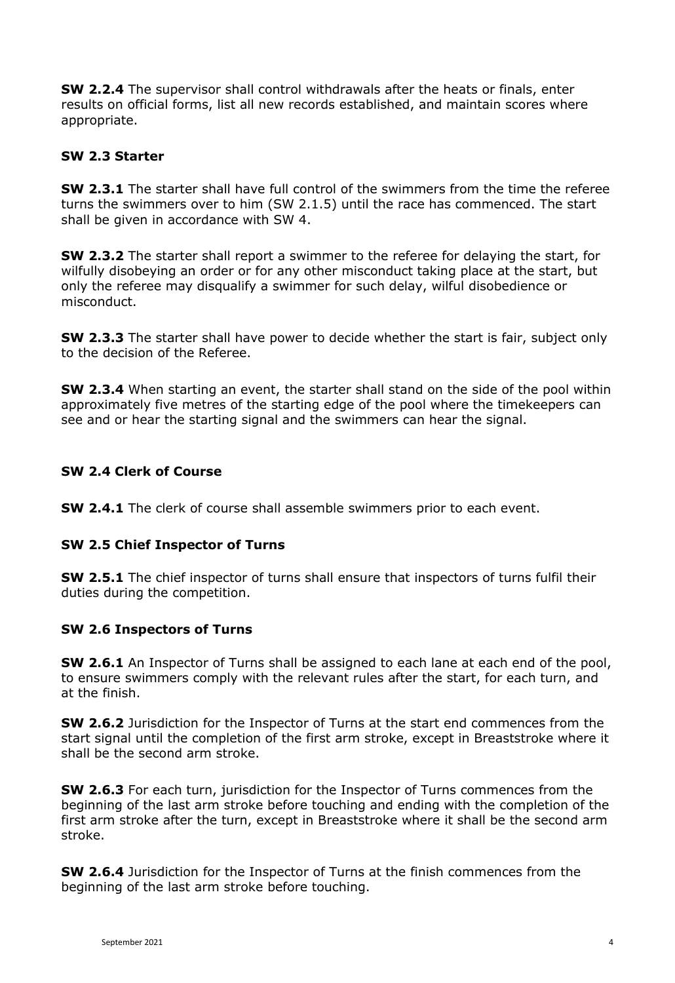**SW 2.2.4** The supervisor shall control withdrawals after the heats or finals, enter results on official forms, list all new records established, and maintain scores where appropriate.

# **SW 2.3 Starter**

**SW 2.3.1** The starter shall have full control of the swimmers from the time the referee turns the swimmers over to him (SW 2.1.5) until the race has commenced. The start shall be given in accordance with SW 4.

**SW 2.3.2** The starter shall report a swimmer to the referee for delaying the start, for wilfully disobeying an order or for any other misconduct taking place at the start, but only the referee may disqualify a swimmer for such delay, wilful disobedience or misconduct.

**SW 2.3.3** The starter shall have power to decide whether the start is fair, subject only to the decision of the Referee.

**SW 2.3.4** When starting an event, the starter shall stand on the side of the pool within approximately five metres of the starting edge of the pool where the timekeepers can see and or hear the starting signal and the swimmers can hear the signal.

## **SW 2.4 Clerk of Course**

**SW 2.4.1** The clerk of course shall assemble swimmers prior to each event.

## **SW 2.5 Chief Inspector of Turns**

**SW 2.5.1** The chief inspector of turns shall ensure that inspectors of turns fulfil their duties during the competition.

## **SW 2.6 Inspectors of Turns**

**SW 2.6.1** An Inspector of Turns shall be assigned to each lane at each end of the pool, to ensure swimmers comply with the relevant rules after the start, for each turn, and at the finish.

**SW 2.6.2** Jurisdiction for the Inspector of Turns at the start end commences from the start signal until the completion of the first arm stroke, except in Breaststroke where it shall be the second arm stroke.

**SW 2.6.3** For each turn, jurisdiction for the Inspector of Turns commences from the beginning of the last arm stroke before touching and ending with the completion of the first arm stroke after the turn, except in Breaststroke where it shall be the second arm stroke.

**SW 2.6.4** Jurisdiction for the Inspector of Turns at the finish commences from the beginning of the last arm stroke before touching.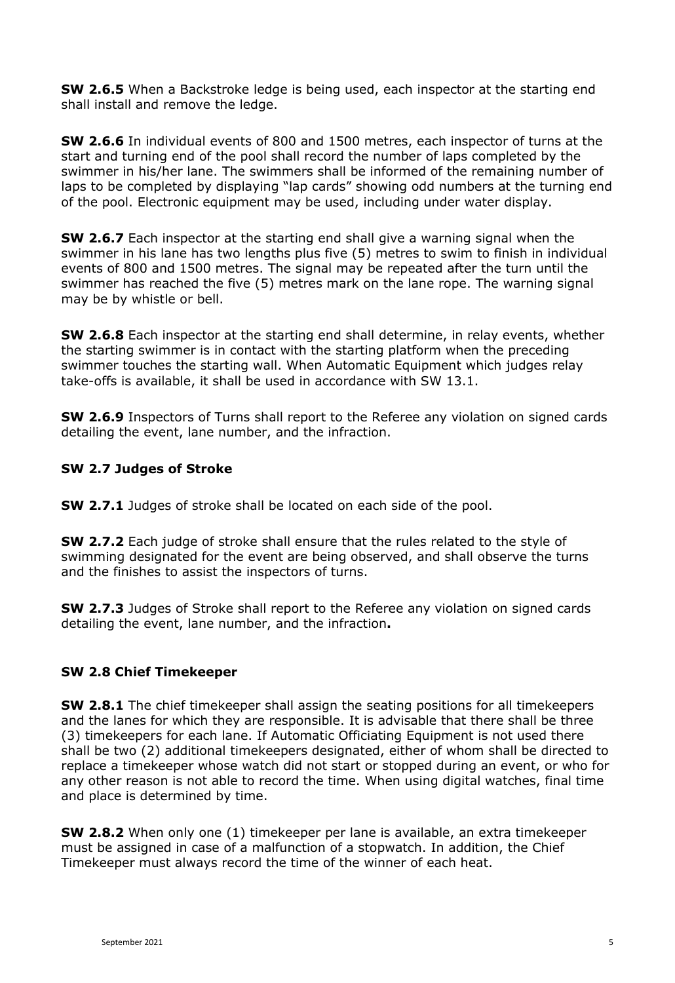**SW 2.6.5** When a Backstroke ledge is being used, each inspector at the starting end shall install and remove the ledge.

**SW 2.6.6** In individual events of 800 and 1500 metres, each inspector of turns at the start and turning end of the pool shall record the number of laps completed by the swimmer in his/her lane. The swimmers shall be informed of the remaining number of laps to be completed by displaying "lap cards" showing odd numbers at the turning end of the pool. Electronic equipment may be used, including under water display.

**SW 2.6.7** Each inspector at the starting end shall give a warning signal when the swimmer in his lane has two lengths plus five (5) metres to swim to finish in individual events of 800 and 1500 metres. The signal may be repeated after the turn until the swimmer has reached the five (5) metres mark on the lane rope. The warning signal may be by whistle or bell.

**SW 2.6.8** Each inspector at the starting end shall determine, in relay events, whether the starting swimmer is in contact with the starting platform when the preceding swimmer touches the starting wall. When Automatic Equipment which judges relay take-offs is available, it shall be used in accordance with SW 13.1.

**SW 2.6.9** Inspectors of Turns shall report to the Referee any violation on signed cards detailing the event, lane number, and the infraction.

# **SW 2.7 Judges of Stroke**

**SW 2.7.1** Judges of stroke shall be located on each side of the pool.

**SW 2.7.2** Each judge of stroke shall ensure that the rules related to the style of swimming designated for the event are being observed, and shall observe the turns and the finishes to assist the inspectors of turns.

**SW 2.7.3** Judges of Stroke shall report to the Referee any violation on signed cards detailing the event, lane number, and the infraction**.** 

## **SW 2.8 Chief Timekeeper**

**SW 2.8.1** The chief timekeeper shall assign the seating positions for all timekeepers and the lanes for which they are responsible. It is advisable that there shall be three (3) timekeepers for each lane. If Automatic Officiating Equipment is not used there shall be two (2) additional timekeepers designated, either of whom shall be directed to replace a timekeeper whose watch did not start or stopped during an event, or who for any other reason is not able to record the time. When using digital watches, final time and place is determined by time.

**SW 2.8.2** When only one (1) timekeeper per lane is available, an extra timekeeper must be assigned in case of a malfunction of a stopwatch. In addition, the Chief Timekeeper must always record the time of the winner of each heat.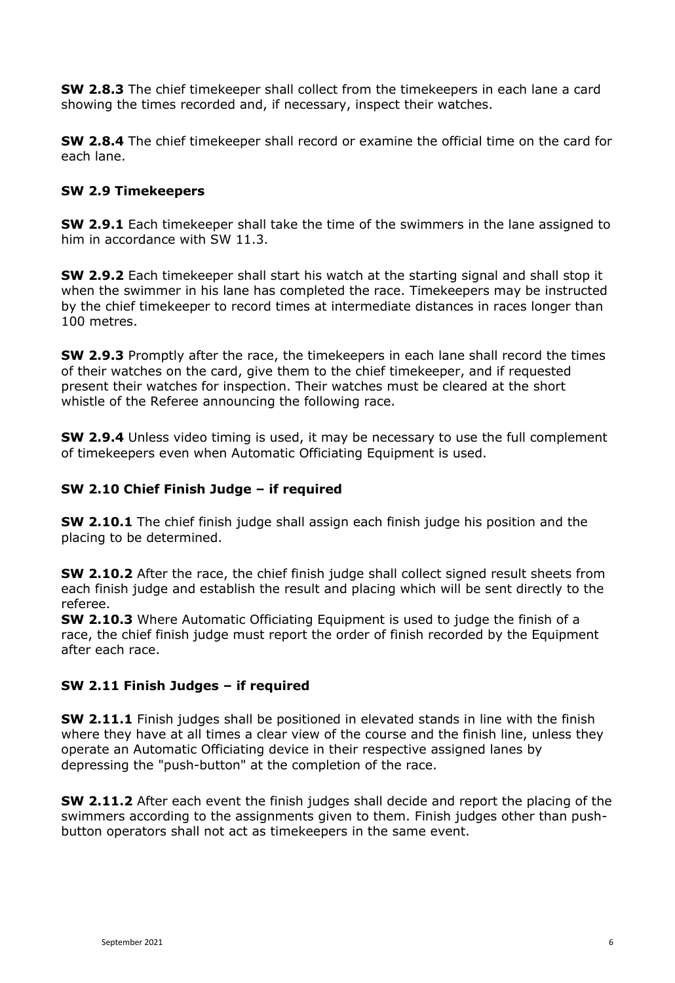**SW 2.8.3** The chief timekeeper shall collect from the timekeepers in each lane a card showing the times recorded and, if necessary, inspect their watches.

**SW 2.8.4** The chief timekeeper shall record or examine the official time on the card for each lane.

# **SW 2.9 Timekeepers**

**SW 2.9.1** Each timekeeper shall take the time of the swimmers in the lane assigned to him in accordance with SW 11.3.

**SW 2.9.2** Each timekeeper shall start his watch at the starting signal and shall stop it when the swimmer in his lane has completed the race. Timekeepers may be instructed by the chief timekeeper to record times at intermediate distances in races longer than 100 metres.

**SW 2.9.3** Promptly after the race, the timekeepers in each lane shall record the times of their watches on the card, give them to the chief timekeeper, and if requested present their watches for inspection. Their watches must be cleared at the short whistle of the Referee announcing the following race.

**SW 2.9.4** Unless video timing is used, it may be necessary to use the full complement of timekeepers even when Automatic Officiating Equipment is used.

# **SW 2.10 Chief Finish Judge – if required**

**SW 2.10.1** The chief finish judge shall assign each finish judge his position and the placing to be determined.

**SW 2.10.2** After the race, the chief finish judge shall collect signed result sheets from each finish judge and establish the result and placing which will be sent directly to the referee.

**SW 2.10.3** Where Automatic Officiating Equipment is used to judge the finish of a race, the chief finish judge must report the order of finish recorded by the Equipment after each race.

# **SW 2.11 Finish Judges – if required**

**SW 2.11.1** Finish judges shall be positioned in elevated stands in line with the finish where they have at all times a clear view of the course and the finish line, unless they operate an Automatic Officiating device in their respective assigned lanes by depressing the "push-button" at the completion of the race.

**SW 2.11.2** After each event the finish judges shall decide and report the placing of the swimmers according to the assignments given to them. Finish judges other than pushbutton operators shall not act as timekeepers in the same event.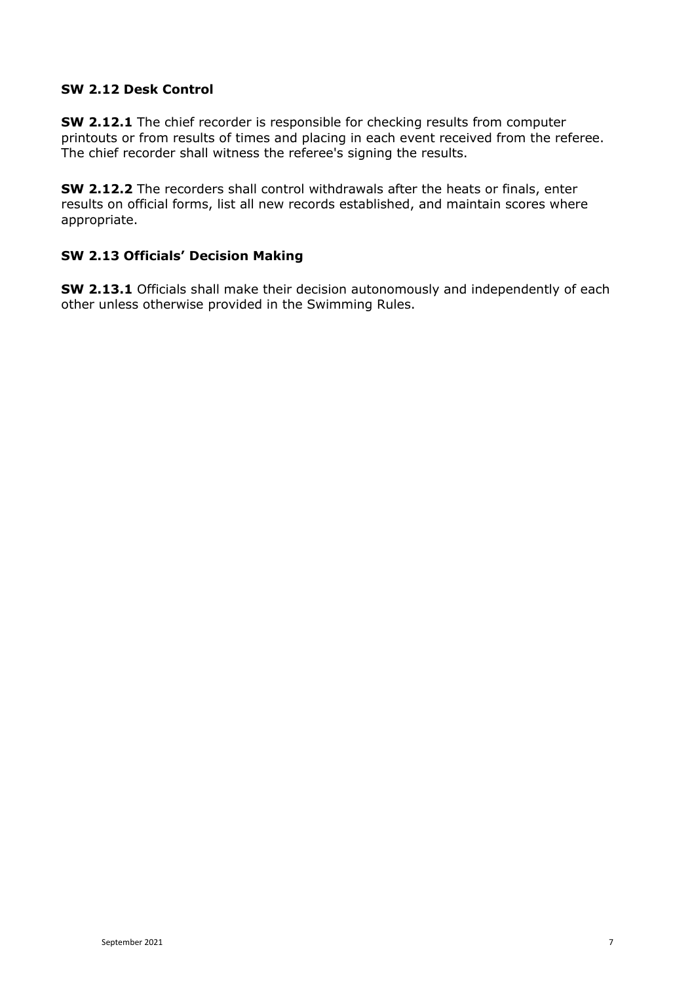# **SW 2.12 Desk Control**

**SW 2.12.1** The chief recorder is responsible for checking results from computer printouts or from results of times and placing in each event received from the referee. The chief recorder shall witness the referee's signing the results.

**SW 2.12.2** The recorders shall control withdrawals after the heats or finals, enter results on official forms, list all new records established, and maintain scores where appropriate.

# **SW 2.13 Officials' Decision Making**

**SW 2.13.1** Officials shall make their decision autonomously and independently of each other unless otherwise provided in the Swimming Rules.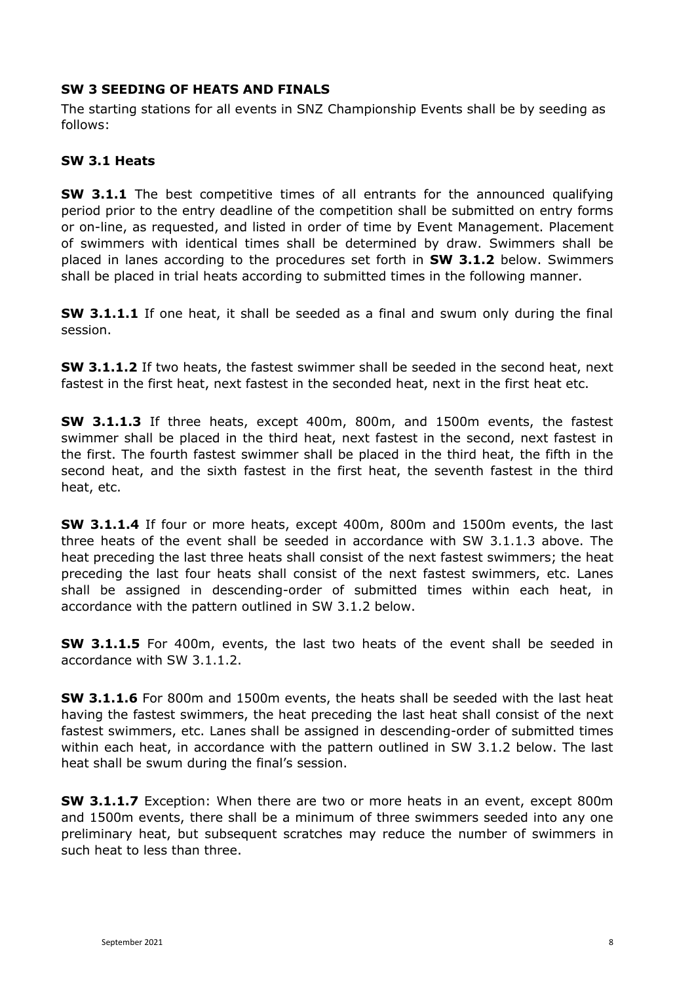# <span id="page-7-0"></span>**SW 3 SEEDING OF HEATS AND FINALS**

The starting stations for all events in SNZ Championship Events shall be by seeding as follows:

## **SW 3.1 Heats**

**SW 3.1.1** The best competitive times of all entrants for the announced qualifying period prior to the entry deadline of the competition shall be submitted on entry forms or on-line, as requested, and listed in order of time by Event Management. Placement of swimmers with identical times shall be determined by draw. Swimmers shall be placed in lanes according to the procedures set forth in **SW 3.1.2** below. Swimmers shall be placed in trial heats according to submitted times in the following manner.

**SW 3.1.1.1** If one heat, it shall be seeded as a final and swum only during the final session.

**SW 3.1.1.2** If two heats, the fastest swimmer shall be seeded in the second heat, next fastest in the first heat, next fastest in the seconded heat, next in the first heat etc.

**SW 3.1.1.3** If three heats, except 400m, 800m, and 1500m events, the fastest swimmer shall be placed in the third heat, next fastest in the second, next fastest in the first. The fourth fastest swimmer shall be placed in the third heat, the fifth in the second heat, and the sixth fastest in the first heat, the seventh fastest in the third heat, etc.

**SW 3.1.1.4** If four or more heats, except 400m, 800m and 1500m events, the last three heats of the event shall be seeded in accordance with SW 3.1.1.3 above. The heat preceding the last three heats shall consist of the next fastest swimmers; the heat preceding the last four heats shall consist of the next fastest swimmers, etc. Lanes shall be assigned in descending-order of submitted times within each heat, in accordance with the pattern outlined in SW 3.1.2 below.

**SW 3.1.1.5** For 400m, events, the last two heats of the event shall be seeded in accordance with SW 3.1.1.2.

**SW 3.1.1.6** For 800m and 1500m events, the heats shall be seeded with the last heat having the fastest swimmers, the heat preceding the last heat shall consist of the next fastest swimmers, etc. Lanes shall be assigned in descending-order of submitted times within each heat, in accordance with the pattern outlined in SW 3.1.2 below. The last heat shall be swum during the final's session.

**SW 3.1.1.7** Exception: When there are two or more heats in an event, except 800m and 1500m events, there shall be a minimum of three swimmers seeded into any one preliminary heat, but subsequent scratches may reduce the number of swimmers in such heat to less than three.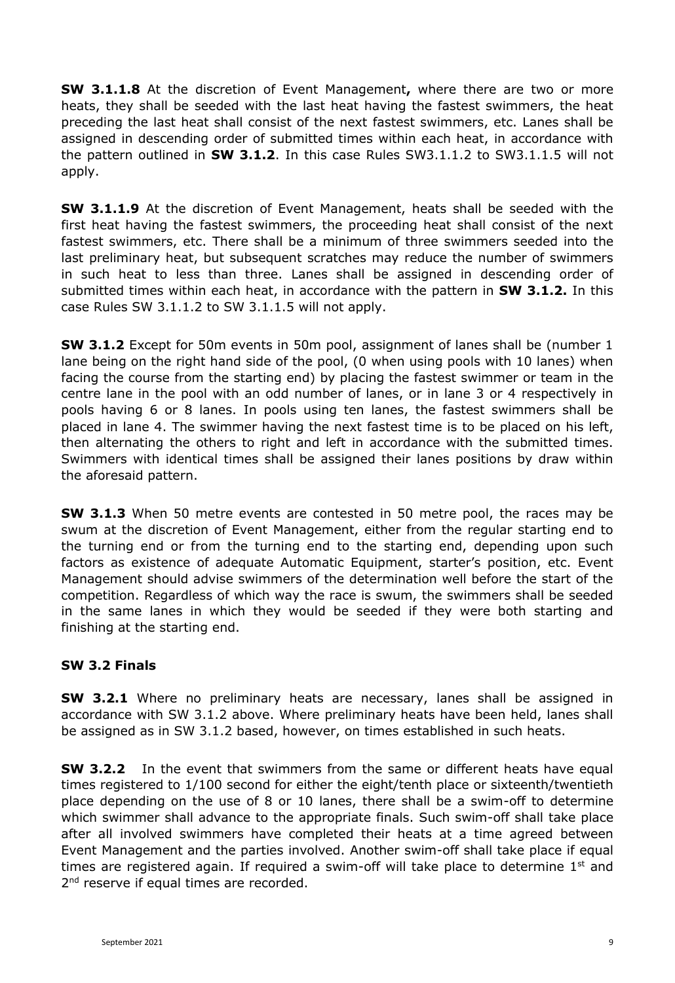**SW 3.1.1.8** At the discretion of Event Management**,** where there are two or more heats, they shall be seeded with the last heat having the fastest swimmers, the heat preceding the last heat shall consist of the next fastest swimmers, etc. Lanes shall be assigned in descending order of submitted times within each heat, in accordance with the pattern outlined in **SW 3.1.2**. In this case Rules SW3.1.1.2 to SW3.1.1.5 will not apply.

**SW 3.1.1.9** At the discretion of Event Management, heats shall be seeded with the first heat having the fastest swimmers, the proceeding heat shall consist of the next fastest swimmers, etc. There shall be a minimum of three swimmers seeded into the last preliminary heat, but subsequent scratches may reduce the number of swimmers in such heat to less than three. Lanes shall be assigned in descending order of submitted times within each heat, in accordance with the pattern in **SW 3.1.2.** In this case Rules SW 3.1.1.2 to SW 3.1.1.5 will not apply.

**SW 3.1.2** Except for 50m events in 50m pool, assignment of lanes shall be (number 1 lane being on the right hand side of the pool, (0 when using pools with 10 lanes) when facing the course from the starting end) by placing the fastest swimmer or team in the centre lane in the pool with an odd number of lanes, or in lane 3 or 4 respectively in pools having 6 or 8 lanes. In pools using ten lanes, the fastest swimmers shall be placed in lane 4. The swimmer having the next fastest time is to be placed on his left, then alternating the others to right and left in accordance with the submitted times. Swimmers with identical times shall be assigned their lanes positions by draw within the aforesaid pattern.

**SW 3.1.3** When 50 metre events are contested in 50 metre pool, the races may be swum at the discretion of Event Management, either from the regular starting end to the turning end or from the turning end to the starting end, depending upon such factors as existence of adequate Automatic Equipment, starter's position, etc. Event Management should advise swimmers of the determination well before the start of the competition. Regardless of which way the race is swum, the swimmers shall be seeded in the same lanes in which they would be seeded if they were both starting and finishing at the starting end.

# **SW 3.2 Finals**

**SW 3.2.1** Where no preliminary heats are necessary, lanes shall be assigned in accordance with SW 3.1.2 above. Where preliminary heats have been held, lanes shall be assigned as in SW 3.1.2 based, however, on times established in such heats.

**SW 3.2.2** In the event that swimmers from the same or different heats have equal times registered to 1/100 second for either the eight/tenth place or sixteenth/twentieth place depending on the use of 8 or 10 lanes, there shall be a swim-off to determine which swimmer shall advance to the appropriate finals. Such swim-off shall take place after all involved swimmers have completed their heats at a time agreed between Event Management and the parties involved. Another swim-off shall take place if equal times are registered again. If required a swim-off will take place to determine  $1<sup>st</sup>$  and 2<sup>nd</sup> reserve if equal times are recorded.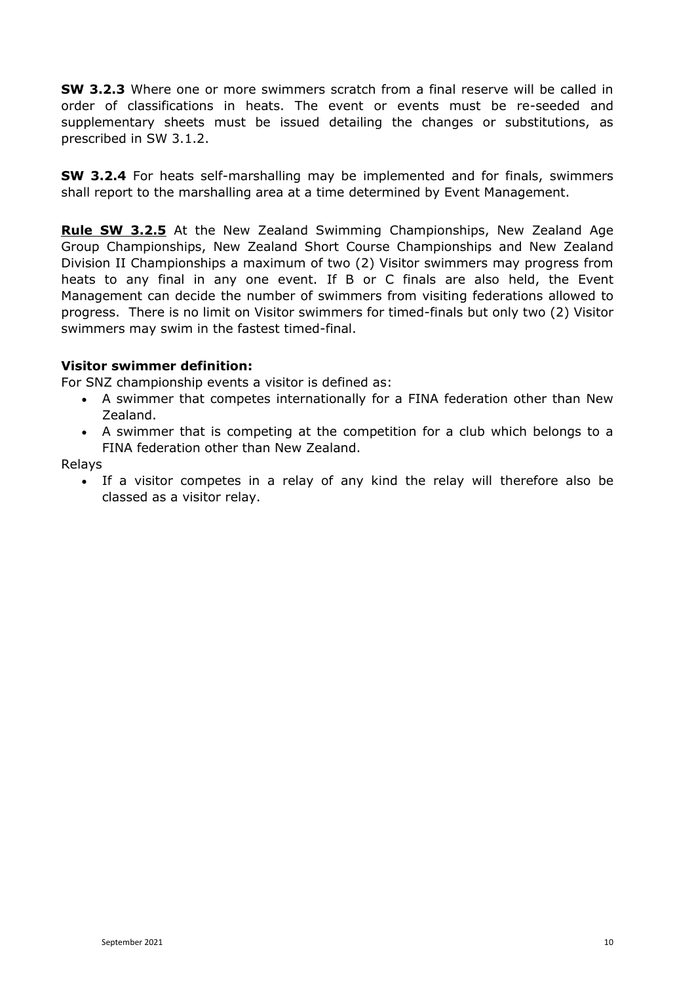**SW 3.2.3** Where one or more swimmers scratch from a final reserve will be called in order of classifications in heats. The event or events must be re-seeded and supplementary sheets must be issued detailing the changes or substitutions, as prescribed in SW 3.1.2.

**SW 3.2.4** For heats self-marshalling may be implemented and for finals, swimmers shall report to the marshalling area at a time determined by Event Management.

**Rule SW 3.2.5** At the New Zealand Swimming Championships, New Zealand Age Group Championships, New Zealand Short Course Championships and New Zealand Division II Championships a maximum of two (2) Visitor swimmers may progress from heats to any final in any one event. If B or C finals are also held, the Event Management can decide the number of swimmers from visiting federations allowed to progress. There is no limit on Visitor swimmers for timed-finals but only two (2) Visitor swimmers may swim in the fastest timed-final.

## **Visitor swimmer definition:**

For SNZ championship events a visitor is defined as:

- A swimmer that competes internationally for a FINA federation other than New Zealand.
- A swimmer that is competing at the competition for a club which belongs to a FINA federation other than New Zealand.

Relays

• If a visitor competes in a relay of any kind the relay will therefore also be classed as a visitor relay.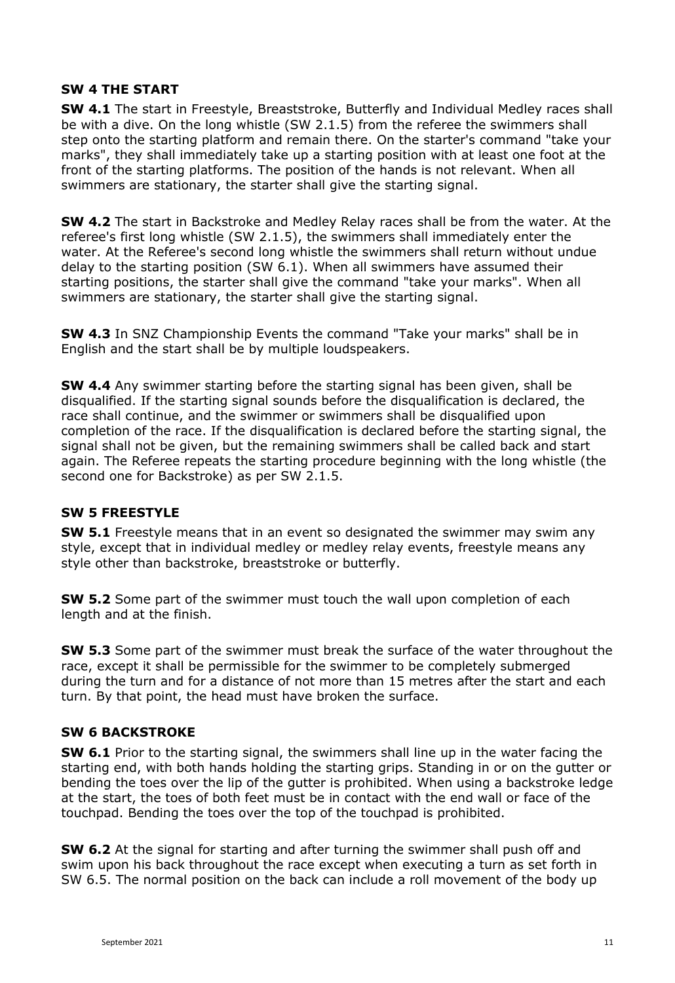## <span id="page-10-0"></span>**SW 4 THE START**

**SW 4.1** The start in Freestyle, Breaststroke, Butterfly and Individual Medley races shall be with a dive. On the long whistle (SW 2.1.5) from the referee the swimmers shall step onto the starting platform and remain there. On the starter's command "take your marks", they shall immediately take up a starting position with at least one foot at the front of the starting platforms. The position of the hands is not relevant. When all swimmers are stationary, the starter shall give the starting signal.

**SW 4.2** The start in Backstroke and Medley Relay races shall be from the water. At the referee's first long whistle (SW 2.1.5), the swimmers shall immediately enter the water. At the Referee's second long whistle the swimmers shall return without undue delay to the starting position (SW 6.1). When all swimmers have assumed their starting positions, the starter shall give the command "take your marks". When all swimmers are stationary, the starter shall give the starting signal.

**SW 4.3** In SNZ Championship Events the command "Take your marks" shall be in English and the start shall be by multiple loudspeakers.

**SW 4.4** Any swimmer starting before the starting signal has been given, shall be disqualified. If the starting signal sounds before the disqualification is declared, the race shall continue, and the swimmer or swimmers shall be disqualified upon completion of the race. If the disqualification is declared before the starting signal, the signal shall not be given, but the remaining swimmers shall be called back and start again. The Referee repeats the starting procedure beginning with the long whistle (the second one for Backstroke) as per SW 2.1.5.

## <span id="page-10-1"></span>**SW 5 FREESTYLE**

**SW 5.1** Freestyle means that in an event so designated the swimmer may swim any style, except that in individual medley or medley relay events, freestyle means any style other than backstroke, breaststroke or butterfly.

**SW 5.2** Some part of the swimmer must touch the wall upon completion of each length and at the finish.

**SW 5.3** Some part of the swimmer must break the surface of the water throughout the race, except it shall be permissible for the swimmer to be completely submerged during the turn and for a distance of not more than 15 metres after the start and each turn. By that point, the head must have broken the surface.

## <span id="page-10-2"></span>**SW 6 BACKSTROKE**

**SW 6.1** Prior to the starting signal, the swimmers shall line up in the water facing the starting end, with both hands holding the starting grips. Standing in or on the gutter or bending the toes over the lip of the gutter is prohibited. When using a backstroke ledge at the start, the toes of both feet must be in contact with the end wall or face of the touchpad. Bending the toes over the top of the touchpad is prohibited.

**SW 6.2** At the signal for starting and after turning the swimmer shall push off and swim upon his back throughout the race except when executing a turn as set forth in SW 6.5. The normal position on the back can include a roll movement of the body up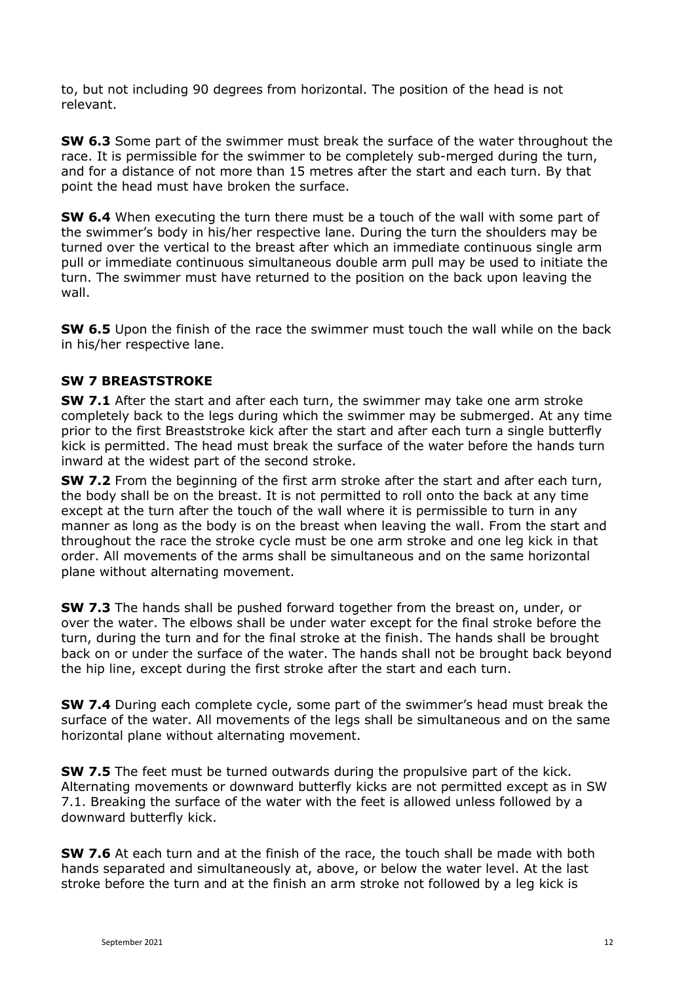to, but not including 90 degrees from horizontal. The position of the head is not relevant.

**SW 6.3** Some part of the swimmer must break the surface of the water throughout the race. It is permissible for the swimmer to be completely sub-merged during the turn, and for a distance of not more than 15 metres after the start and each turn. By that point the head must have broken the surface.

**SW 6.4** When executing the turn there must be a touch of the wall with some part of the swimmer's body in his/her respective lane. During the turn the shoulders may be turned over the vertical to the breast after which an immediate continuous single arm pull or immediate continuous simultaneous double arm pull may be used to initiate the turn. The swimmer must have returned to the position on the back upon leaving the wall.

**SW 6.5** Upon the finish of the race the swimmer must touch the wall while on the back in his/her respective lane.

# <span id="page-11-0"></span>**SW 7 BREASTSTROKE**

**SW 7.1** After the start and after each turn, the swimmer may take one arm stroke completely back to the legs during which the swimmer may be submerged. At any time prior to the first Breaststroke kick after the start and after each turn a single butterfly kick is permitted. The head must break the surface of the water before the hands turn inward at the widest part of the second stroke.

**SW 7.2** From the beginning of the first arm stroke after the start and after each turn, the body shall be on the breast. It is not permitted to roll onto the back at any time except at the turn after the touch of the wall where it is permissible to turn in any manner as long as the body is on the breast when leaving the wall. From the start and throughout the race the stroke cycle must be one arm stroke and one leg kick in that order. All movements of the arms shall be simultaneous and on the same horizontal plane without alternating movement.

**SW 7.3** The hands shall be pushed forward together from the breast on, under, or over the water. The elbows shall be under water except for the final stroke before the turn, during the turn and for the final stroke at the finish. The hands shall be brought back on or under the surface of the water. The hands shall not be brought back beyond the hip line, except during the first stroke after the start and each turn.

**SW 7.4** During each complete cycle, some part of the swimmer's head must break the surface of the water. All movements of the legs shall be simultaneous and on the same horizontal plane without alternating movement.

**SW 7.5** The feet must be turned outwards during the propulsive part of the kick. Alternating movements or downward butterfly kicks are not permitted except as in SW 7.1. Breaking the surface of the water with the feet is allowed unless followed by a downward butterfly kick.

**SW 7.6** At each turn and at the finish of the race, the touch shall be made with both hands separated and simultaneously at, above, or below the water level. At the last stroke before the turn and at the finish an arm stroke not followed by a leg kick is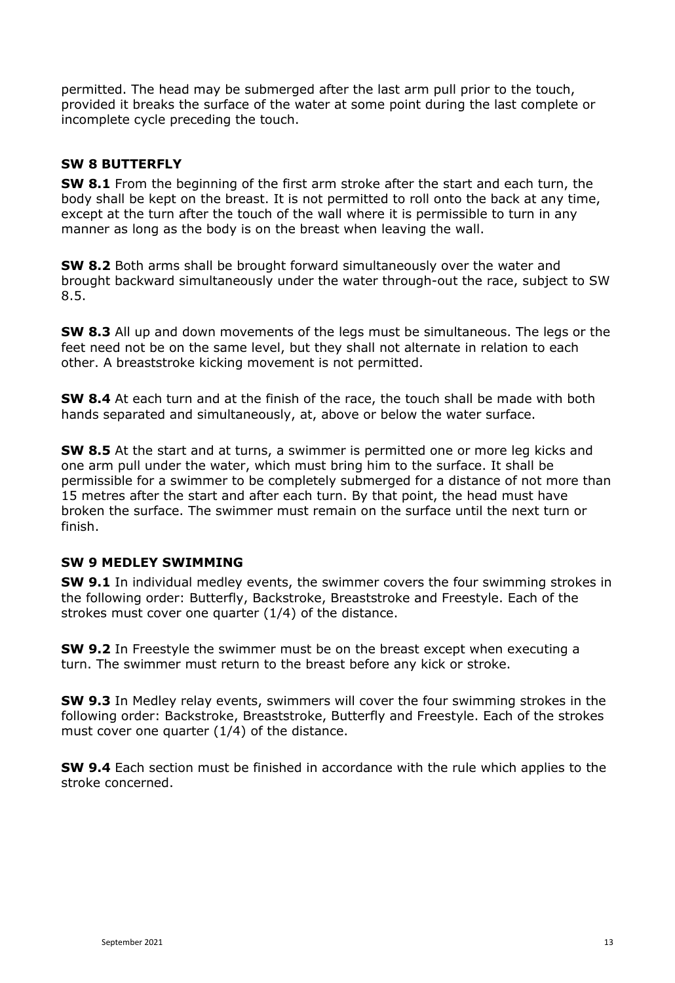permitted. The head may be submerged after the last arm pull prior to the touch, provided it breaks the surface of the water at some point during the last complete or incomplete cycle preceding the touch.

# <span id="page-12-0"></span>**SW 8 BUTTERFLY**

**SW 8.1** From the beginning of the first arm stroke after the start and each turn, the body shall be kept on the breast. It is not permitted to roll onto the back at any time, except at the turn after the touch of the wall where it is permissible to turn in any manner as long as the body is on the breast when leaving the wall.

**SW 8.2** Both arms shall be brought forward simultaneously over the water and brought backward simultaneously under the water through-out the race, subject to SW 8.5.

**SW 8.3** All up and down movements of the legs must be simultaneous. The legs or the feet need not be on the same level, but they shall not alternate in relation to each other. A breaststroke kicking movement is not permitted.

**SW 8.4** At each turn and at the finish of the race, the touch shall be made with both hands separated and simultaneously, at, above or below the water surface.

**SW 8.5** At the start and at turns, a swimmer is permitted one or more leg kicks and one arm pull under the water, which must bring him to the surface. It shall be permissible for a swimmer to be completely submerged for a distance of not more than 15 metres after the start and after each turn. By that point, the head must have broken the surface. The swimmer must remain on the surface until the next turn or finish.

## <span id="page-12-1"></span>**SW 9 MEDLEY SWIMMING**

**SW 9.1** In individual medley events, the swimmer covers the four swimming strokes in the following order: Butterfly, Backstroke, Breaststroke and Freestyle. Each of the strokes must cover one quarter (1/4) of the distance.

**SW 9.2** In Freestyle the swimmer must be on the breast except when executing a turn. The swimmer must return to the breast before any kick or stroke.

**SW 9.3** In Medley relay events, swimmers will cover the four swimming strokes in the following order: Backstroke, Breaststroke, Butterfly and Freestyle. Each of the strokes must cover one quarter (1/4) of the distance.

**SW 9.4** Each section must be finished in accordance with the rule which applies to the stroke concerned.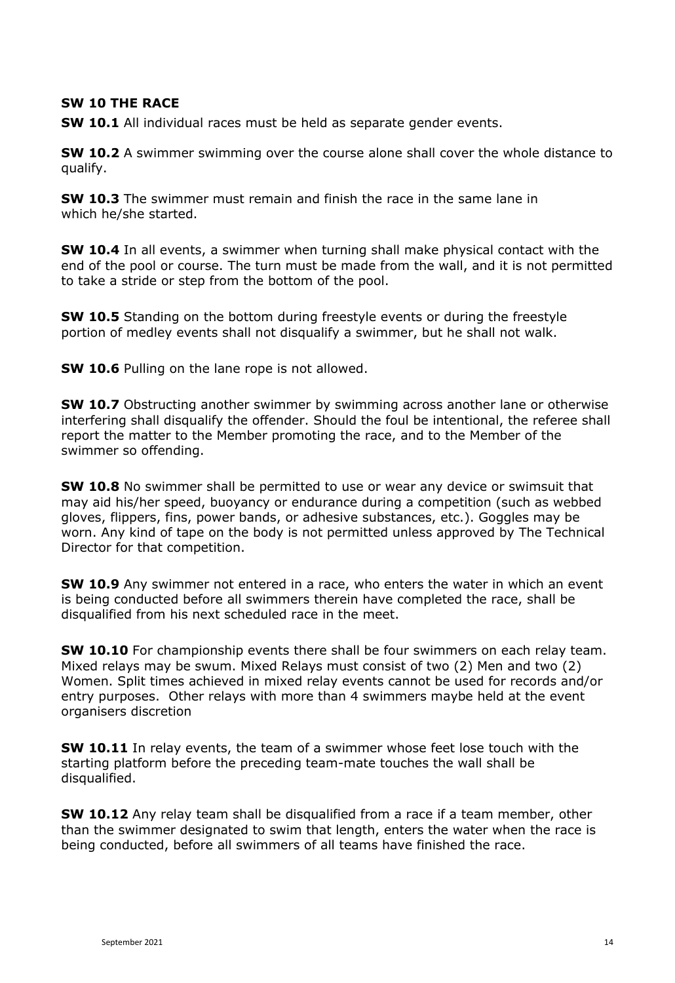## <span id="page-13-0"></span>**SW 10 THE RACE**

**SW 10.1** All individual races must be held as separate gender events.

**SW 10.2** A swimmer swimming over the course alone shall cover the whole distance to qualify.

**SW 10.3** The swimmer must remain and finish the race in the same lane in which he/she started.

**SW 10.4** In all events, a swimmer when turning shall make physical contact with the end of the pool or course. The turn must be made from the wall, and it is not permitted to take a stride or step from the bottom of the pool.

**SW 10.5** Standing on the bottom during freestyle events or during the freestyle portion of medley events shall not disqualify a swimmer, but he shall not walk.

**SW 10.6** Pulling on the lane rope is not allowed.

**SW 10.7** Obstructing another swimmer by swimming across another lane or otherwise interfering shall disqualify the offender. Should the foul be intentional, the referee shall report the matter to the Member promoting the race, and to the Member of the swimmer so offending.

**SW 10.8** No swimmer shall be permitted to use or wear any device or swimsuit that may aid his/her speed, buoyancy or endurance during a competition (such as webbed gloves, flippers, fins, power bands, or adhesive substances, etc.). Goggles may be worn. Any kind of tape on the body is not permitted unless approved by The Technical Director for that competition.

**SW 10.9** Any swimmer not entered in a race, who enters the water in which an event is being conducted before all swimmers therein have completed the race, shall be disqualified from his next scheduled race in the meet.

**SW 10.10** For championship events there shall be four swimmers on each relay team. Mixed relays may be swum. Mixed Relays must consist of two (2) Men and two (2) Women. Split times achieved in mixed relay events cannot be used for records and/or entry purposes. Other relays with more than 4 swimmers maybe held at the event organisers discretion

**SW 10.11** In relay events, the team of a swimmer whose feet lose touch with the starting platform before the preceding team-mate touches the wall shall be disqualified.

**SW 10.12** Any relay team shall be disqualified from a race if a team member, other than the swimmer designated to swim that length, enters the water when the race is being conducted, before all swimmers of all teams have finished the race.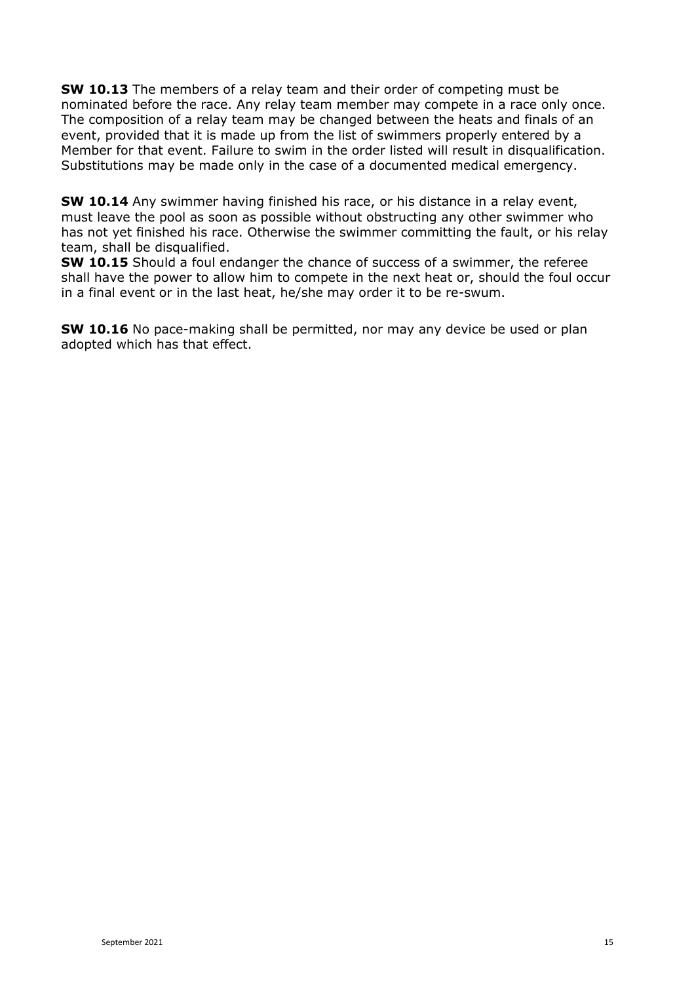**SW 10.13** The members of a relay team and their order of competing must be nominated before the race. Any relay team member may compete in a race only once. The composition of a relay team may be changed between the heats and finals of an event, provided that it is made up from the list of swimmers properly entered by a Member for that event. Failure to swim in the order listed will result in disqualification. Substitutions may be made only in the case of a documented medical emergency.

**SW 10.14** Any swimmer having finished his race, or his distance in a relay event, must leave the pool as soon as possible without obstructing any other swimmer who has not yet finished his race. Otherwise the swimmer committing the fault, or his relay team, shall be disqualified.

**SW 10.15** Should a foul endanger the chance of success of a swimmer, the referee shall have the power to allow him to compete in the next heat or, should the foul occur in a final event or in the last heat, he/she may order it to be re-swum.

**SW 10.16** No pace-making shall be permitted, nor may any device be used or plan adopted which has that effect.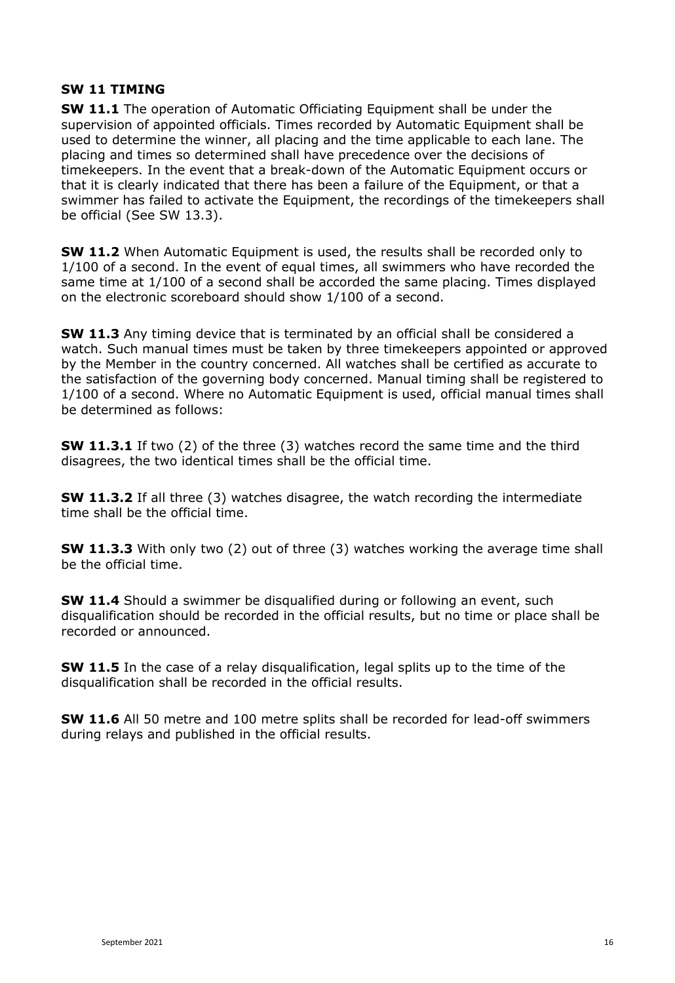## <span id="page-15-0"></span>**SW 11 TIMING**

**SW 11.1** The operation of Automatic Officiating Equipment shall be under the supervision of appointed officials. Times recorded by Automatic Equipment shall be used to determine the winner, all placing and the time applicable to each lane. The placing and times so determined shall have precedence over the decisions of timekeepers. In the event that a break-down of the Automatic Equipment occurs or that it is clearly indicated that there has been a failure of the Equipment, or that a swimmer has failed to activate the Equipment, the recordings of the timekeepers shall be official (See SW 13.3).

**SW 11.2** When Automatic Equipment is used, the results shall be recorded only to 1/100 of a second. In the event of equal times, all swimmers who have recorded the same time at 1/100 of a second shall be accorded the same placing. Times displayed on the electronic scoreboard should show 1/100 of a second.

**SW 11.3** Any timing device that is terminated by an official shall be considered a watch. Such manual times must be taken by three timekeepers appointed or approved by the Member in the country concerned. All watches shall be certified as accurate to the satisfaction of the governing body concerned. Manual timing shall be registered to 1/100 of a second. Where no Automatic Equipment is used, official manual times shall be determined as follows:

**SW 11.3.1** If two (2) of the three (3) watches record the same time and the third disagrees, the two identical times shall be the official time.

**SW 11.3.2** If all three (3) watches disagree, the watch recording the intermediate time shall be the official time.

**SW 11.3.3** With only two (2) out of three (3) watches working the average time shall be the official time.

**SW 11.4** Should a swimmer be disqualified during or following an event, such disqualification should be recorded in the official results, but no time or place shall be recorded or announced.

**SW 11.5** In the case of a relay disqualification, legal splits up to the time of the disqualification shall be recorded in the official results.

**SW 11.6** All 50 metre and 100 metre splits shall be recorded for lead-off swimmers during relays and published in the official results.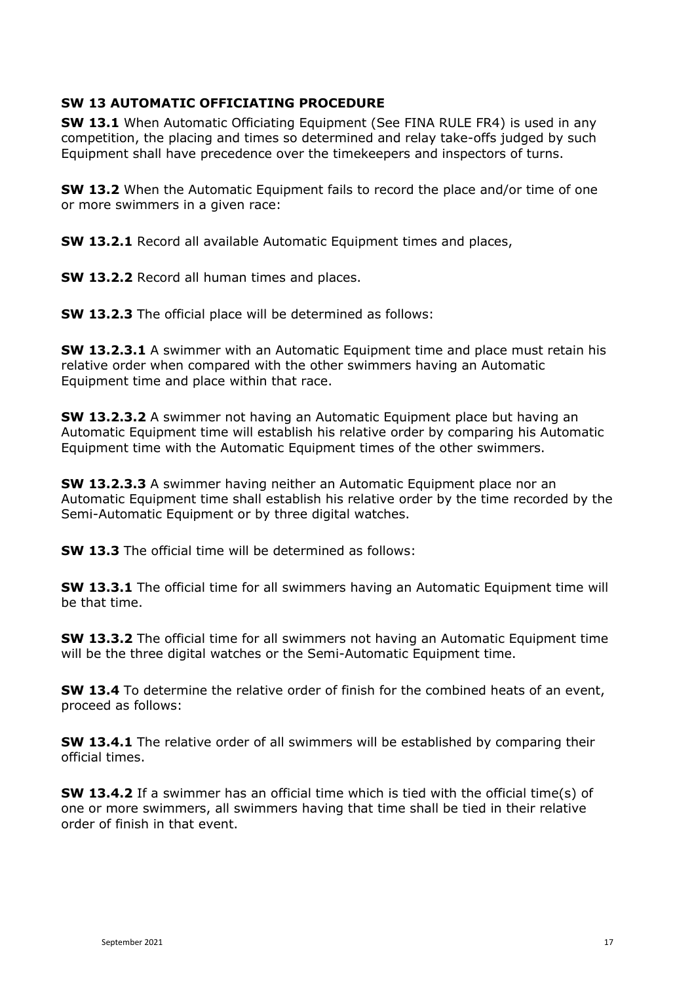# <span id="page-16-0"></span>**SW 13 AUTOMATIC OFFICIATING PROCEDURE**

**SW 13.1** When Automatic Officiating Equipment (See FINA RULE FR4) is used in any competition, the placing and times so determined and relay take-offs judged by such Equipment shall have precedence over the timekeepers and inspectors of turns.

**SW 13.2** When the Automatic Equipment fails to record the place and/or time of one or more swimmers in a given race:

**SW 13.2.1** Record all available Automatic Equipment times and places,

**SW 13.2.2** Record all human times and places.

**SW 13.2.3** The official place will be determined as follows:

**SW 13.2.3.1** A swimmer with an Automatic Equipment time and place must retain his relative order when compared with the other swimmers having an Automatic Equipment time and place within that race.

**SW 13.2.3.2** A swimmer not having an Automatic Equipment place but having an Automatic Equipment time will establish his relative order by comparing his Automatic Equipment time with the Automatic Equipment times of the other swimmers.

**SW 13.2.3.3** A swimmer having neither an Automatic Equipment place nor an Automatic Equipment time shall establish his relative order by the time recorded by the Semi-Automatic Equipment or by three digital watches.

**SW 13.3** The official time will be determined as follows:

**SW 13.3.1** The official time for all swimmers having an Automatic Equipment time will be that time.

**SW 13.3.2** The official time for all swimmers not having an Automatic Equipment time will be the three digital watches or the Semi-Automatic Equipment time.

**SW 13.4** To determine the relative order of finish for the combined heats of an event, proceed as follows:

**SW 13.4.1** The relative order of all swimmers will be established by comparing their official times.

**SW 13.4.2** If a swimmer has an official time which is tied with the official time(s) of one or more swimmers, all swimmers having that time shall be tied in their relative order of finish in that event.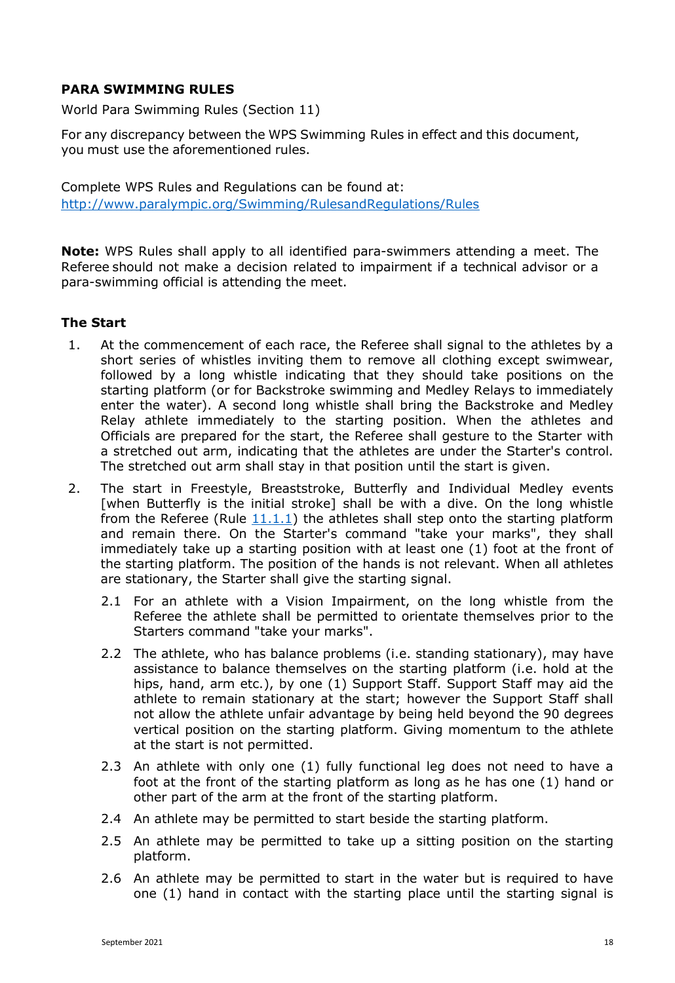# <span id="page-17-0"></span>**PARA SWIMMING RULES**

World Para Swimming Rules (Section 11)

For any discrepancy between the WPS Swimming Rules in effect and this document, you must use the aforementioned rules.

Complete WPS Rules and Regulations can be found at: <http://www.paralympic.org/Swimming/RulesandRegulations/Rules>

**Note:** WPS Rules shall apply to all identified para-swimmers attending a meet. The Referee should not make a decision related to impairment if a technical advisor or a para-swimming official is attending the meet.

# **The Start**

- <span id="page-17-1"></span>1. At the commencement of each race, the Referee shall signal to the athletes by a short series of whistles inviting them to remove all clothing except swimwear, followed by a long whistle indicating that they should take positions on the starting platform (or for Backstroke swimming and Medley Relays to immediately enter the water). A second long whistle shall bring the Backstroke and Medley Relay athlete immediately to the starting position. When the athletes and Officials are prepared for the start, the Referee shall gesture to the Starter with a stretched out arm, indicating that the athletes are under the Starter's control. The stretched out arm shall stay in that position until the start is given.
- 2. The start in Freestyle, Breaststroke, Butterfly and Individual Medley events [when Butterfly is the initial stroke] shall be with a dive. On the long whistle from the Referee (Rule  $11.1.1$ ) the athletes shall step onto the starting platform and remain there. On the Starter's command "take your marks", they shall immediately take up a starting position with at least one (1) foot at the front of the starting platform. The position of the hands is not relevant. When all athletes are stationary, the Starter shall give the starting signal.
	- 2.1 For an athlete with a Vision Impairment, on the long whistle from the Referee the athlete shall be permitted to orientate themselves prior to the Starters command "take your marks".
	- 2.2 The athlete, who has balance problems (i.e. standing stationary), may have assistance to balance themselves on the starting platform (i.e. hold at the hips, hand, arm etc.), by one (1) Support Staff. Support Staff may aid the athlete to remain stationary at the start; however the Support Staff shall not allow the athlete unfair advantage by being held beyond the 90 degrees vertical position on the starting platform. Giving momentum to the athlete at the start is not permitted.
	- 2.3 An athlete with only one (1) fully functional leg does not need to have a foot at the front of the starting platform as long as he has one (1) hand or other part of the arm at the front of the starting platform.
	- 2.4 An athlete may be permitted to start beside the starting platform.
	- 2.5 An athlete may be permitted to take up a sitting position on the starting platform.
	- 2.6 An athlete may be permitted to start in the water but is required to have one (1) hand in contact with the starting place until the starting signal is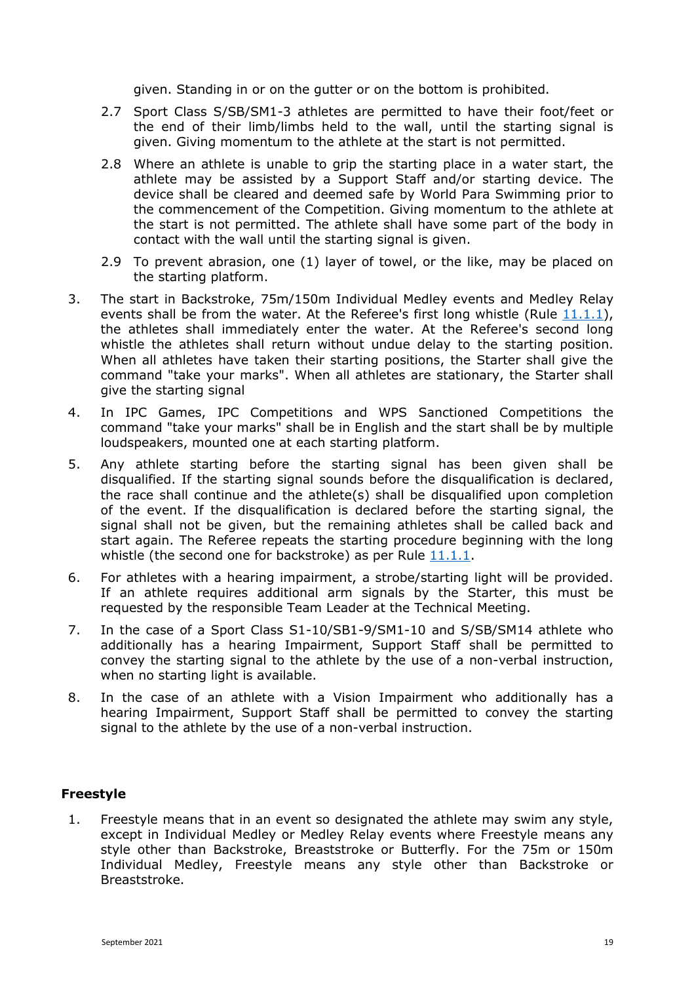given. Standing in or on the gutter or on the bottom is prohibited.

- 2.7 Sport Class S/SB/SM1-3 athletes are permitted to have their foot/feet or the end of their limb/limbs held to the wall, until the starting signal is given. Giving momentum to the athlete at the start is not permitted.
- 2.8 Where an athlete is unable to grip the starting place in a water start, the athlete may be assisted by a Support Staff and/or starting device. The device shall be cleared and deemed safe by World Para Swimming prior to the commencement of the Competition. Giving momentum to the athlete at the start is not permitted. The athlete shall have some part of the body in contact with the wall until the starting signal is given.
- 2.9 To prevent abrasion, one (1) layer of towel, or the like, may be placed on the starting platform.
- 3. The start in Backstroke, 75m/150m Individual Medley events and Medley Relay events shall be from the water. At the Referee's first long whistle (Rule  $11.1.1$ ), the athletes shall immediately enter the water. At the Referee's second long whistle the athletes shall return without undue delay to the starting position. When all athletes have taken their starting positions, the Starter shall give the command "take your marks". When all athletes are stationary, the Starter shall give the starting signal
- 4. In IPC Games, IPC Competitions and WPS Sanctioned Competitions the command "take your marks" shall be in English and the start shall be by multiple loudspeakers, mounted one at each starting platform.
- 5. Any athlete starting before the starting signal has been given shall be disqualified. If the starting signal sounds before the disqualification is declared, the race shall continue and the athlete(s) shall be disqualified upon completion of the event. If the disqualification is declared before the starting signal, the signal shall not be given, but the remaining athletes shall be called back and start again. The Referee repeats the starting procedure beginning with the long whistle (the second one for backstroke) as per Rule [11.1.1.](#page-17-1)
- 6. For athletes with a hearing impairment, a strobe/starting light will be provided. If an athlete requires additional arm signals by the Starter, this must be requested by the responsible Team Leader at the Technical Meeting.
- 7. In the case of a Sport Class S1-10/SB1-9/SM1-10 and S/SB/SM14 athlete who additionally has a hearing Impairment, Support Staff shall be permitted to convey the starting signal to the athlete by the use of a non-verbal instruction, when no starting light is available.
- 8. In the case of an athlete with a Vision Impairment who additionally has a hearing Impairment, Support Staff shall be permitted to convey the starting signal to the athlete by the use of a non-verbal instruction.

## **Freestyle**

1. Freestyle means that in an event so designated the athlete may swim any style, except in Individual Medley or Medley Relay events where Freestyle means any style other than Backstroke, Breaststroke or Butterfly. For the 75m or 150m Individual Medley, Freestyle means any style other than Backstroke or Breaststroke.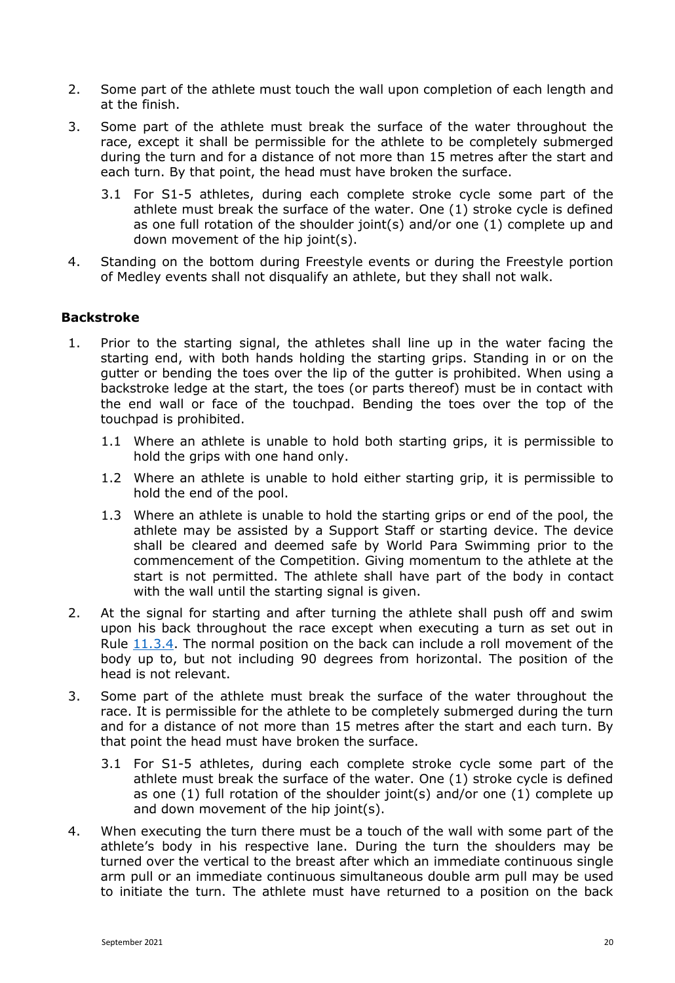- 2. Some part of the athlete must touch the wall upon completion of each length and at the finish.
- 3. Some part of the athlete must break the surface of the water throughout the race, except it shall be permissible for the athlete to be completely submerged during the turn and for a distance of not more than 15 metres after the start and each turn. By that point, the head must have broken the surface.
	- 3.1 For S1-5 athletes, during each complete stroke cycle some part of the athlete must break the surface of the water. One (1) stroke cycle is defined as one full rotation of the shoulder joint(s) and/or one (1) complete up and down movement of the hip joint(s).
- 4. Standing on the bottom during Freestyle events or during the Freestyle portion of Medley events shall not disqualify an athlete, but they shall not walk.

## **Backstroke**

- 1. Prior to the starting signal, the athletes shall line up in the water facing the starting end, with both hands holding the starting grips. Standing in or on the gutter or bending the toes over the lip of the gutter is prohibited. When using a backstroke ledge at the start, the toes (or parts thereof) must be in contact with the end wall or face of the touchpad. Bending the toes over the top of the touchpad is prohibited.
	- 1.1 Where an athlete is unable to hold both starting grips, it is permissible to hold the grips with one hand only.
	- 1.2 Where an athlete is unable to hold either starting grip, it is permissible to hold the end of the pool.
	- 1.3 Where an athlete is unable to hold the starting grips or end of the pool, the athlete may be assisted by a Support Staff or starting device. The device shall be cleared and deemed safe by World Para Swimming prior to the commencement of the Competition. Giving momentum to the athlete at the start is not permitted. The athlete shall have part of the body in contact with the wall until the starting signal is given.
- 2. At the signal for starting and after turning the athlete shall push off and swim upon his back throughout the race except when executing a turn as set out in Rule [11.3.4.](#page-19-0) The normal position on the back can include a roll movement of the body up to, but not including 90 degrees from horizontal. The position of the head is not relevant.
- 3. Some part of the athlete must break the surface of the water throughout the race. It is permissible for the athlete to be completely submerged during the turn and for a distance of not more than 15 metres after the start and each turn. By that point the head must have broken the surface.
	- 3.1 For S1-5 athletes, during each complete stroke cycle some part of the athlete must break the surface of the water. One (1) stroke cycle is defined as one (1) full rotation of the shoulder joint(s) and/or one (1) complete up and down movement of the hip joint(s).
- <span id="page-19-0"></span>4. When executing the turn there must be a touch of the wall with some part of the athlete's body in his respective lane. During the turn the shoulders may be turned over the vertical to the breast after which an immediate continuous single arm pull or an immediate continuous simultaneous double arm pull may be used to initiate the turn. The athlete must have returned to a position on the back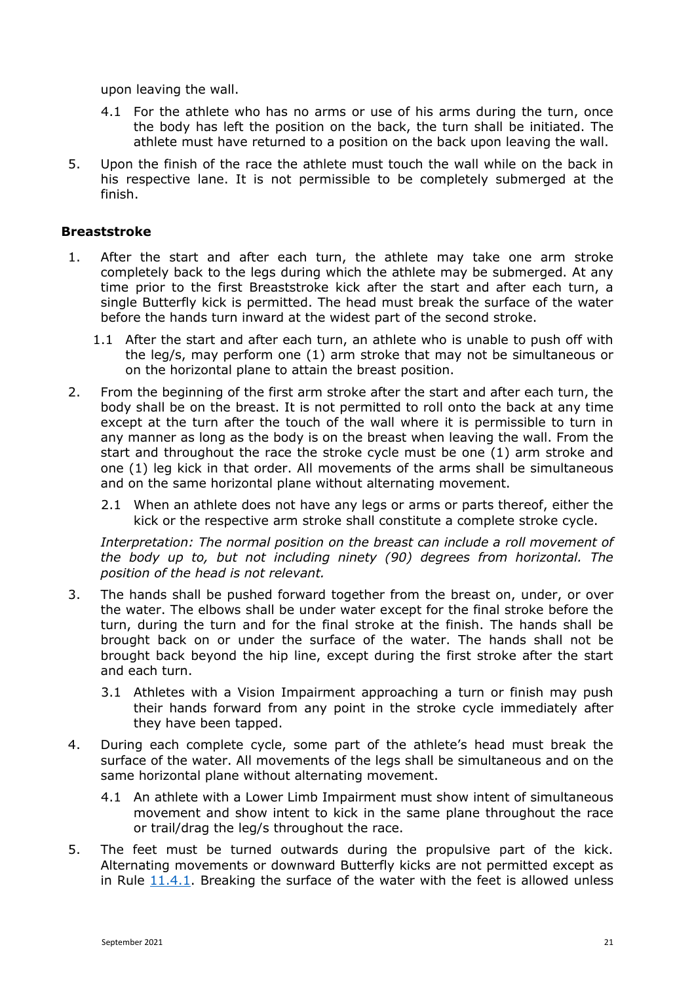upon leaving the wall.

- 4.1 For the athlete who has no arms or use of his arms during the turn, once the body has left the position on the back, the turn shall be initiated. The athlete must have returned to a position on the back upon leaving the wall.
- 5. Upon the finish of the race the athlete must touch the wall while on the back in his respective lane. It is not permissible to be completely submerged at the finish.

## **Breaststroke**

- <span id="page-20-0"></span>1. After the start and after each turn, the athlete may take one arm stroke completely back to the legs during which the athlete may be submerged. At any time prior to the first Breaststroke kick after the start and after each turn, a single Butterfly kick is permitted. The head must break the surface of the water before the hands turn inward at the widest part of the second stroke.
	- 1.1 After the start and after each turn, an athlete who is unable to push off with the leg/s, may perform one (1) arm stroke that may not be simultaneous or on the horizontal plane to attain the breast position.
- 2. From the beginning of the first arm stroke after the start and after each turn, the body shall be on the breast. It is not permitted to roll onto the back at any time except at the turn after the touch of the wall where it is permissible to turn in any manner as long as the body is on the breast when leaving the wall. From the start and throughout the race the stroke cycle must be one (1) arm stroke and one (1) leg kick in that order. All movements of the arms shall be simultaneous and on the same horizontal plane without alternating movement.
	- 2.1 When an athlete does not have any legs or arms or parts thereof, either the kick or the respective arm stroke shall constitute a complete stroke cycle.

*Interpretation: The normal position on the breast can include a roll movement of the body up to, but not including ninety (90) degrees from horizontal. The position of the head is not relevant.*

- 3. The hands shall be pushed forward together from the breast on, under, or over the water. The elbows shall be under water except for the final stroke before the turn, during the turn and for the final stroke at the finish. The hands shall be brought back on or under the surface of the water. The hands shall not be brought back beyond the hip line, except during the first stroke after the start and each turn.
	- 3.1 Athletes with a Vision Impairment approaching a turn or finish may push their hands forward from any point in the stroke cycle immediately after they have been tapped.
- 4. During each complete cycle, some part of the athlete's head must break the surface of the water. All movements of the legs shall be simultaneous and on the same horizontal plane without alternating movement.
	- 4.1 An athlete with a Lower Limb Impairment must show intent of simultaneous movement and show intent to kick in the same plane throughout the race or trail/drag the leg/s throughout the race.
- 5. The feet must be turned outwards during the propulsive part of the kick. Alternating movements or downward Butterfly kicks are not permitted except as in Rule  $11.4.1$ . Breaking the surface of the water with the feet is allowed unless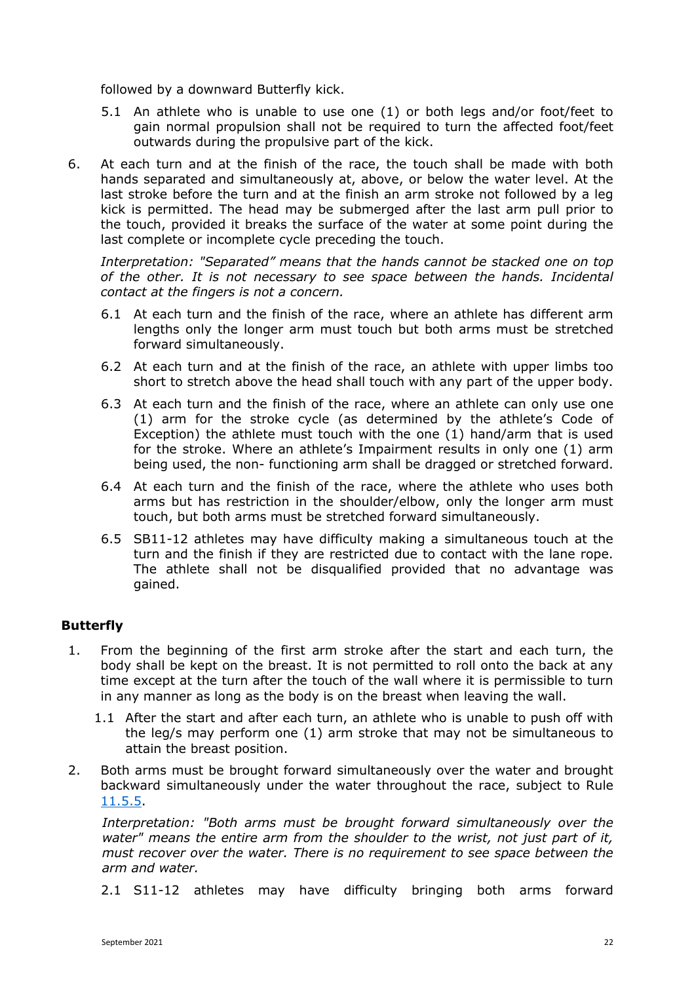followed by a downward Butterfly kick.

- 5.1 An athlete who is unable to use one (1) or both legs and/or foot/feet to gain normal propulsion shall not be required to turn the affected foot/feet outwards during the propulsive part of the kick.
- 6. At each turn and at the finish of the race, the touch shall be made with both hands separated and simultaneously at, above, or below the water level. At the last stroke before the turn and at the finish an arm stroke not followed by a leg kick is permitted. The head may be submerged after the last arm pull prior to the touch, provided it breaks the surface of the water at some point during the last complete or incomplete cycle preceding the touch.

*Interpretation: "Separated" means that the hands cannot be stacked one on top of the other. It is not necessary to see space between the hands. Incidental contact at the fingers is not a concern.*

- 6.1 At each turn and the finish of the race, where an athlete has different arm lengths only the longer arm must touch but both arms must be stretched forward simultaneously.
- 6.2 At each turn and at the finish of the race, an athlete with upper limbs too short to stretch above the head shall touch with any part of the upper body.
- 6.3 At each turn and the finish of the race, where an athlete can only use one (1) arm for the stroke cycle (as determined by the athlete's Code of Exception) the athlete must touch with the one (1) hand/arm that is used for the stroke. Where an athlete's Impairment results in only one (1) arm being used, the non- functioning arm shall be dragged or stretched forward.
- 6.4 At each turn and the finish of the race, where the athlete who uses both arms but has restriction in the shoulder/elbow, only the longer arm must touch, but both arms must be stretched forward simultaneously.
- 6.5 SB11-12 athletes may have difficulty making a simultaneous touch at the turn and the finish if they are restricted due to contact with the lane rope. The athlete shall not be disqualified provided that no advantage was gained.

# **Butterfly**

- 1. From the beginning of the first arm stroke after the start and each turn, the body shall be kept on the breast. It is not permitted to roll onto the back at any time except at the turn after the touch of the wall where it is permissible to turn in any manner as long as the body is on the breast when leaving the wall.
	- 1.1 After the start and after each turn, an athlete who is unable to push off with the leg/s may perform one (1) arm stroke that may not be simultaneous to attain the breast position.
- 2. Both arms must be brought forward simultaneously over the water and brought backward simultaneously under the water throughout the race, subject to Rule [11.5.5.](#page-22-0)

*Interpretation: "Both arms must be brought forward simultaneously over the water" means the entire arm from the shoulder to the wrist, not just part of it, must recover over the water. There is no requirement to see space between the arm and water.*

2.1 S11-12 athletes may have difficulty bringing both arms forward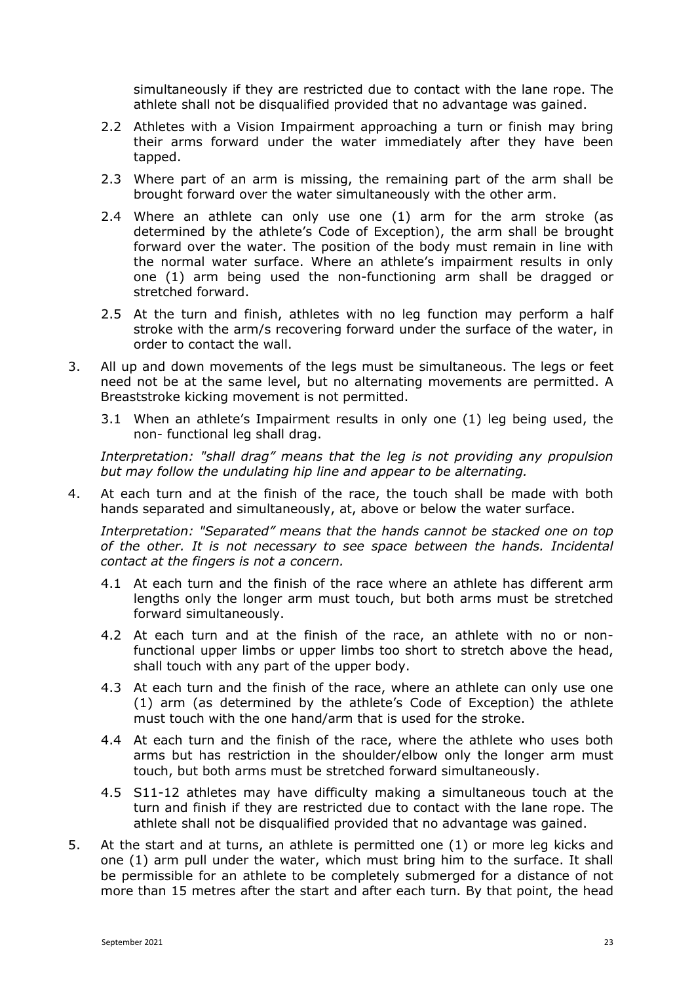simultaneously if they are restricted due to contact with the lane rope. The athlete shall not be disqualified provided that no advantage was gained.

- 2.2 Athletes with a Vision Impairment approaching a turn or finish may bring their arms forward under the water immediately after they have been tapped.
- 2.3 Where part of an arm is missing, the remaining part of the arm shall be brought forward over the water simultaneously with the other arm.
- 2.4 Where an athlete can only use one (1) arm for the arm stroke (as determined by the athlete's Code of Exception), the arm shall be brought forward over the water. The position of the body must remain in line with the normal water surface. Where an athlete's impairment results in only one (1) arm being used the non-functioning arm shall be dragged or stretched forward.
- 2.5 At the turn and finish, athletes with no leg function may perform a half stroke with the arm/s recovering forward under the surface of the water, in order to contact the wall.
- 3. All up and down movements of the legs must be simultaneous. The legs or feet need not be at the same level, but no alternating movements are permitted. A Breaststroke kicking movement is not permitted.
	- 3.1 When an athlete's Impairment results in only one (1) leg being used, the non- functional leg shall drag.

*Interpretation: "shall drag" means that the leg is not providing any propulsion but may follow the undulating hip line and appear to be alternating.*

4. At each turn and at the finish of the race, the touch shall be made with both hands separated and simultaneously, at, above or below the water surface.

*Interpretation: "Separated" means that the hands cannot be stacked one on top of the other. It is not necessary to see space between the hands. Incidental contact at the fingers is not a concern.*

- 4.1 At each turn and the finish of the race where an athlete has different arm lengths only the longer arm must touch, but both arms must be stretched forward simultaneously.
- 4.2 At each turn and at the finish of the race, an athlete with no or nonfunctional upper limbs or upper limbs too short to stretch above the head, shall touch with any part of the upper body.
- 4.3 At each turn and the finish of the race, where an athlete can only use one (1) arm (as determined by the athlete's Code of Exception) the athlete must touch with the one hand/arm that is used for the stroke.
- 4.4 At each turn and the finish of the race, where the athlete who uses both arms but has restriction in the shoulder/elbow only the longer arm must touch, but both arms must be stretched forward simultaneously.
- 4.5 S11-12 athletes may have difficulty making a simultaneous touch at the turn and finish if they are restricted due to contact with the lane rope. The athlete shall not be disqualified provided that no advantage was gained.
- <span id="page-22-0"></span>5. At the start and at turns, an athlete is permitted one (1) or more leg kicks and one (1) arm pull under the water, which must bring him to the surface. It shall be permissible for an athlete to be completely submerged for a distance of not more than 15 metres after the start and after each turn. By that point, the head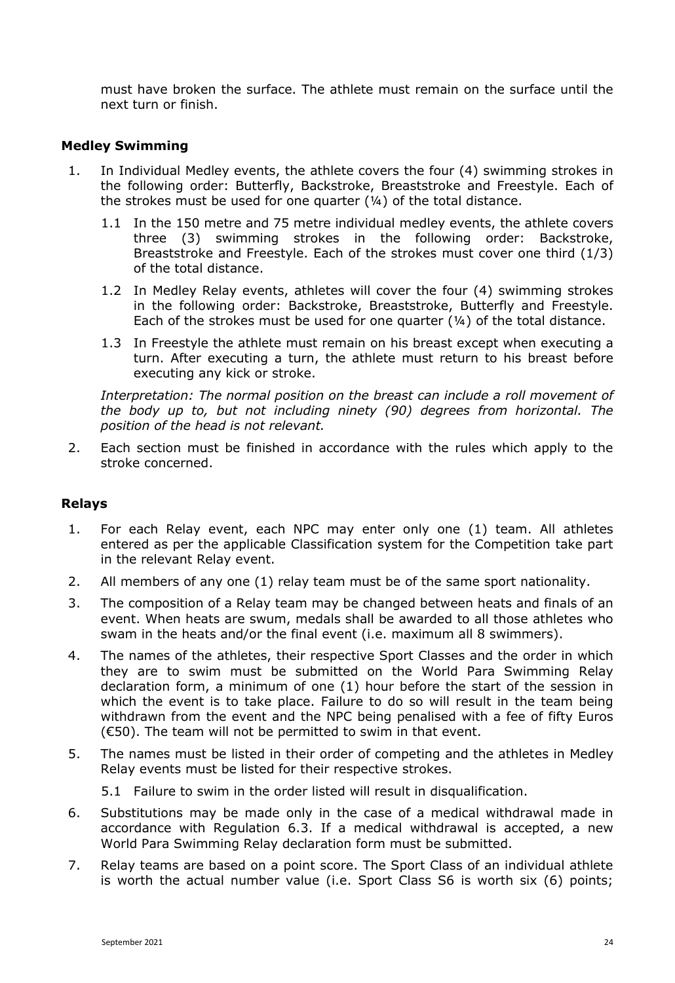must have broken the surface. The athlete must remain on the surface until the next turn or finish.

## **Medley Swimming**

- 1. In Individual Medley events, the athlete covers the four (4) swimming strokes in the following order: Butterfly, Backstroke, Breaststroke and Freestyle. Each of the strokes must be used for one quarter (¼) of the total distance.
	- 1.1 In the 150 metre and 75 metre individual medley events, the athlete covers three (3) swimming strokes in the following order: Backstroke, Breaststroke and Freestyle. Each of the strokes must cover one third (1/3) of the total distance.
	- 1.2 In Medley Relay events, athletes will cover the four (4) swimming strokes in the following order: Backstroke, Breaststroke, Butterfly and Freestyle. Each of the strokes must be used for one quarter (¼) of the total distance.
	- 1.3 In Freestyle the athlete must remain on his breast except when executing a turn. After executing a turn, the athlete must return to his breast before executing any kick or stroke.

*Interpretation: The normal position on the breast can include a roll movement of the body up to, but not including ninety (90) degrees from horizontal. The position of the head is not relevant.*

2. Each section must be finished in accordance with the rules which apply to the stroke concerned.

## **Relays**

- 1. For each Relay event, each NPC may enter only one (1) team. All athletes entered as per the applicable Classification system for the Competition take part in the relevant Relay event.
- 2. All members of any one (1) relay team must be of the same sport nationality.
- 3. The composition of a Relay team may be changed between heats and finals of an event. When heats are swum, medals shall be awarded to all those athletes who swam in the heats and/or the final event (i.e. maximum all 8 swimmers).
- 4. The names of the athletes, their respective Sport Classes and the order in which they are to swim must be submitted on the World Para Swimming Relay declaration form, a minimum of one (1) hour before the start of the session in which the event is to take place. Failure to do so will result in the team being withdrawn from the event and the NPC being penalised with a fee of fifty Euros  $(650)$ . The team will not be permitted to swim in that event.
- 5. The names must be listed in their order of competing and the athletes in Medley Relay events must be listed for their respective strokes.

5.1 Failure to swim in the order listed will result in disqualification.

- 6. Substitutions may be made only in the case of a medical withdrawal made in accordance with Regulation 6.3. If a medical withdrawal is accepted, a new World Para Swimming Relay declaration form must be submitted.
- 7. Relay teams are based on a point score. The Sport Class of an individual athlete is worth the actual number value (i.e. Sport Class S6 is worth six (6) points;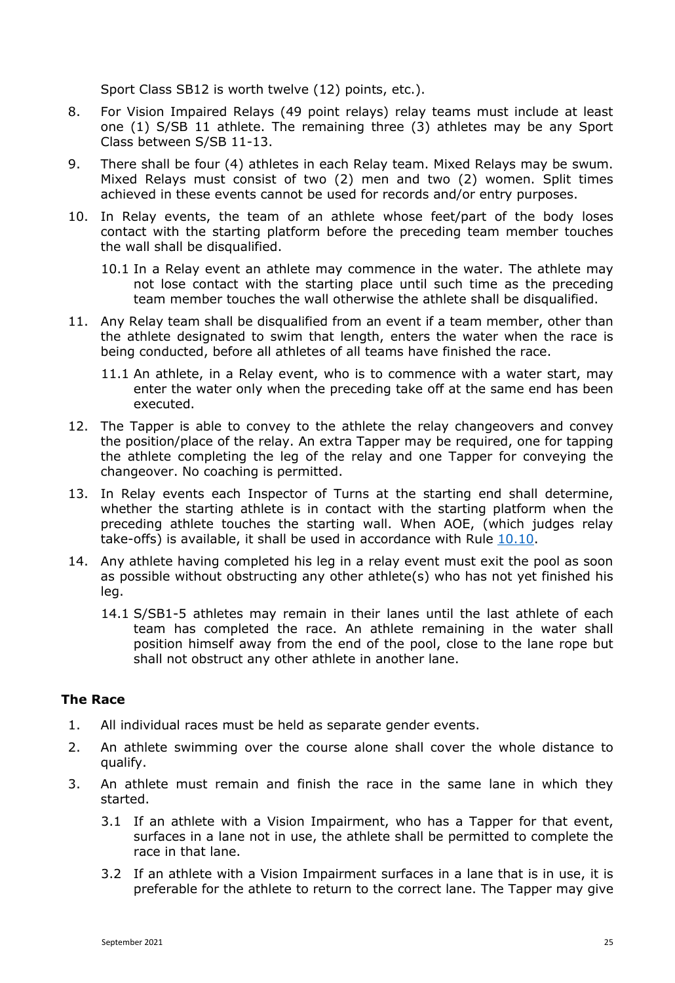Sport Class SB12 is worth twelve (12) points, etc.).

- 8. For Vision Impaired Relays (49 point relays) relay teams must include at least one (1) S/SB 11 athlete. The remaining three (3) athletes may be any Sport Class between S/SB 11-13.
- 9. There shall be four (4) athletes in each Relay team. Mixed Relays may be swum. Mixed Relays must consist of two (2) men and two (2) women. Split times achieved in these events cannot be used for records and/or entry purposes.
- 10. In Relay events, the team of an athlete whose feet/part of the body loses contact with the starting platform before the preceding team member touches the wall shall be disqualified.
	- 10.1 In a Relay event an athlete may commence in the water. The athlete may not lose contact with the starting place until such time as the preceding team member touches the wall otherwise the athlete shall be disqualified.
- 11. Any Relay team shall be disqualified from an event if a team member, other than the athlete designated to swim that length, enters the water when the race is being conducted, before all athletes of all teams have finished the race.
	- 11.1 An athlete, in a Relay event, who is to commence with a water start, may enter the water only when the preceding take off at the same end has been executed.
- 12. The Tapper is able to convey to the athlete the relay changeovers and convey the position/place of the relay. An extra Tapper may be required, one for tapping the athlete completing the leg of the relay and one Tapper for conveying the changeover. No coaching is permitted.
- 13. In Relay events each Inspector of Turns at the starting end shall determine, whether the starting athlete is in contact with the starting platform when the preceding athlete touches the starting wall. When AOE, (which judges relay take-offs) is available, it shall be used in accordance with Rule  $10.10$ .
- 14. Any athlete having completed his leg in a relay event must exit the pool as soon as possible without obstructing any other athlete(s) who has not yet finished his leg.
	- 14.1 S/SB1-5 athletes may remain in their lanes until the last athlete of each team has completed the race. An athlete remaining in the water shall position himself away from the end of the pool, close to the lane rope but shall not obstruct any other athlete in another lane.

## **The Race**

- 1. All individual races must be held as separate gender events.
- 2. An athlete swimming over the course alone shall cover the whole distance to qualify.
- 3. An athlete must remain and finish the race in the same lane in which they started.
	- 3.1 If an athlete with a Vision Impairment, who has a Tapper for that event, surfaces in a lane not in use, the athlete shall be permitted to complete the race in that lane.
	- 3.2 If an athlete with a Vision Impairment surfaces in a lane that is in use, it is preferable for the athlete to return to the correct lane. The Tapper may give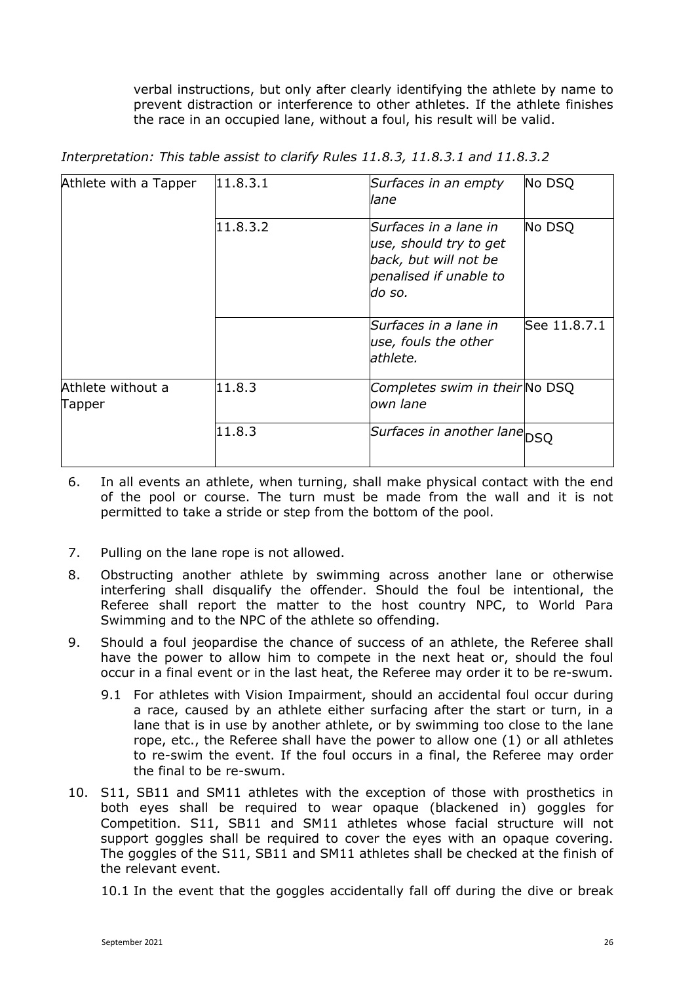verbal instructions, but only after clearly identifying the athlete by name to prevent distraction or interference to other athletes. If the athlete finishes the race in an occupied lane, without a foul, his result will be valid.

| Athlete with a Tapper       | 11.8.3.1 | Surfaces in an empty<br>lane                                                                                 | No DSQ       |
|-----------------------------|----------|--------------------------------------------------------------------------------------------------------------|--------------|
|                             | 11.8.3.2 | Surfaces in a lane in<br>use, should try to get<br>back, but will not be<br>penalised if unable to<br>do so. | No DSQ       |
|                             |          | Surfaces in a lane in<br>use, fouls the other<br>athlete.                                                    | See 11.8.7.1 |
| Athlete without a<br>Tapper | 11.8.3   | Completes swim in their No DSQ<br>own lane                                                                   |              |
|                             | 11.8.3   | Surfaces in another lane DSQ                                                                                 |              |

*Interpretation: This table assist to clarify Rules 11.8.3, 11.8.3.1 and 11.8.3.2*

- 6. In all events an athlete, when turning, shall make physical contact with the end of the pool or course. The turn must be made from the wall and it is not permitted to take a stride or step from the bottom of the pool.
- 7. Pulling on the lane rope is not allowed.
- 8. Obstructing another athlete by swimming across another lane or otherwise interfering shall disqualify the offender. Should the foul be intentional, the Referee shall report the matter to the host country NPC, to World Para Swimming and to the NPC of the athlete so offending.
- 9. Should a foul jeopardise the chance of success of an athlete, the Referee shall have the power to allow him to compete in the next heat or, should the foul occur in a final event or in the last heat, the Referee may order it to be re-swum.
	- 9.1 For athletes with Vision Impairment, should an accidental foul occur during a race, caused by an athlete either surfacing after the start or turn, in a lane that is in use by another athlete, or by swimming too close to the lane rope, etc., the Referee shall have the power to allow one (1) or all athletes to re-swim the event. If the foul occurs in a final, the Referee may order the final to be re-swum.
- 10. S11, SB11 and SM11 athletes with the exception of those with prosthetics in both eyes shall be required to wear opaque (blackened in) goggles for Competition. S11, SB11 and SM11 athletes whose facial structure will not support goggles shall be required to cover the eyes with an opaque covering. The goggles of the S11, SB11 and SM11 athletes shall be checked at the finish of the relevant event.

10.1 In the event that the goggles accidentally fall off during the dive or break